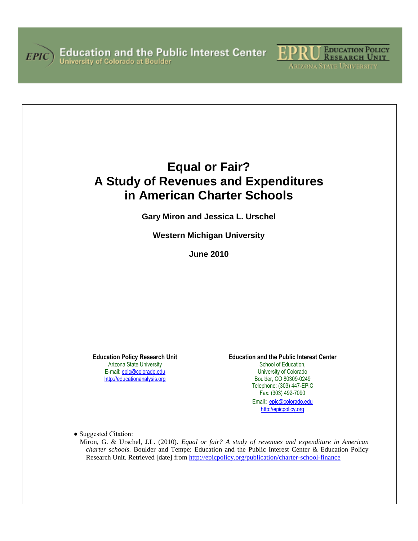



# **Equal or Fair? A Study of Revenues and Expenditures in American Charter Schools**

**Gary Miron and Jessica L. Urschel**

**Western Michigan University**

**June 2010**

**Education Policy Research Unit** Arizona State University E-mail[: epic@colorado.edu](mailto:epic@colorado.edu) [http://educationanalysis.org](http://educationanalysis.org/)

**Education and the Public Interest Center**

School of Education. University of Colorado Boulder, CO 80309-0249 Telephone: (303) 447-EPIC Fax: (303) 492-7090

Email: [epic@colorado.edu](mailto:epic@colorado.edu) [http://epicpolicy.org](http://education.colorado.edu/epic)

● Suggested Citation:

Miron, G. & Urschel, J.L. (2010). *Equal or fair? A study of revenues and expenditure in American charter schools*. Boulder and Tempe: Education and the Public Interest Center & Education Policy Research Unit. Retrieved [date] from <http://epicpolicy.org/publication/charter-school-finance>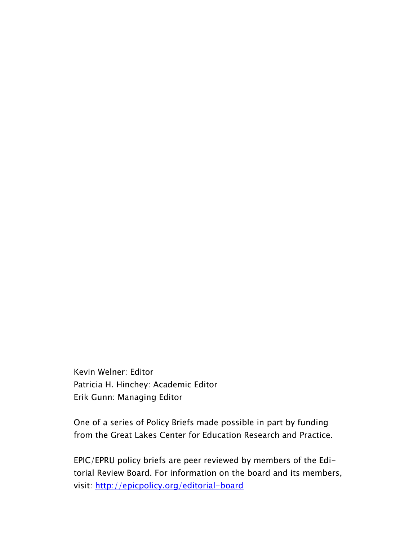Kevin Welner: Editor Patricia H. Hinchey: Academic Editor Erik Gunn: Managing Editor

One of a series of Policy Briefs made possible in part by funding from the Great Lakes Center for Education Research and Practice.

EPIC/EPRU policy briefs are peer reviewed by members of the Editorial Review Board. For information on the board and its members, visit: <http://epicpolicy.org/editorial-board>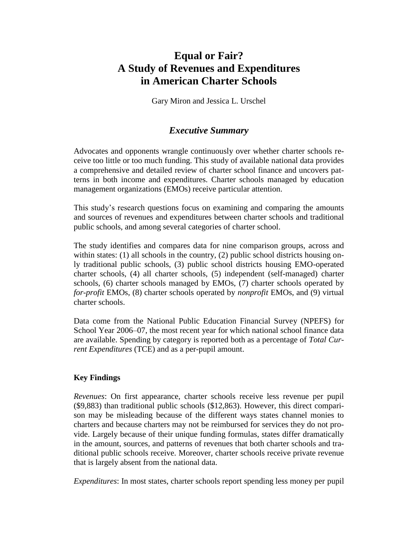## **Equal or Fair? A Study of Revenues and Expenditures in American Charter Schools**

Gary Miron and Jessica L. Urschel

## *Executive Summary*

Advocates and opponents wrangle continuously over whether charter schools receive too little or too much funding. This study of available national data provides a comprehensive and detailed review of charter school finance and uncovers patterns in both income and expenditures. Charter schools managed by education management organizations (EMOs) receive particular attention.

This study's research questions focus on examining and comparing the amounts and sources of revenues and expenditures between charter schools and traditional public schools, and among several categories of charter school.

The study identifies and compares data for nine comparison groups, across and within states: (1) all schools in the country, (2) public school districts housing only traditional public schools, (3) public school districts housing EMO-operated charter schools, (4) all charter schools, (5) independent (self-managed) charter schools, (6) charter schools managed by EMOs, (7) charter schools operated by *for-profit* EMOs, (8) charter schools operated by *nonprofit* EMOs, and (9) virtual charter schools.

Data come from the National Public Education Financial Survey (NPEFS) for School Year 2006–07, the most recent year for which national school finance data are available. Spending by category is reported both as a percentage of *Total Current Expenditures* (TCE) and as a per-pupil amount.

## **Key Findings**

*Revenues*: On first appearance, charter schools receive less revenue per pupil (\$9,883) than traditional public schools (\$12,863). However, this direct comparison may be misleading because of the different ways states channel monies to charters and because charters may not be reimbursed for services they do not provide. Largely because of their unique funding formulas, states differ dramatically in the amount, sources, and patterns of revenues that both charter schools and traditional public schools receive. Moreover, charter schools receive private revenue that is largely absent from the national data.

*Expenditures*: In most states, charter schools report spending less money per pupil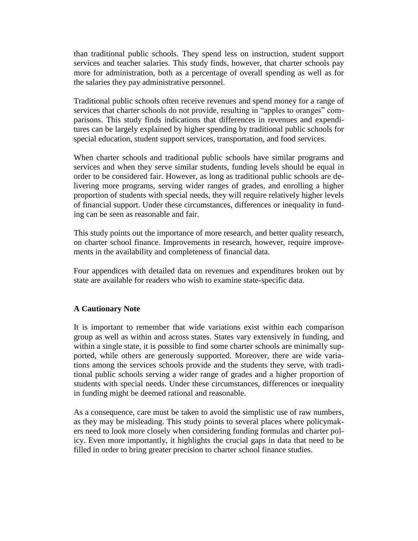than traditional public schools. They spend less on instruction, student support services and teacher salaries. This study finds, however, that charter schools pay more for administration, both as a percentage of overall spending as well as for the salaries they pay administrative personnel.

Traditional public schools often receive revenues and spend money for a range of services that charter schools do not provide, resulting in "apples to oranges" comparisons. This study finds indications that differences in revenues and expenditures can be largely explained by higher spending by traditional public schools for special education, student support services, transportation, and food services.

When charter schools and traditional public schools have similar programs and services and when they serve similar students, funding levels should be equal in order to be considered fair. However, as long as traditional public schools are delivering more programs, serving wider ranges of grades, and enrolling a higher proportion of students with special needs, they will require relatively higher levels of financial support. Under these circumstances, differences or inequality in funding can be seen as reasonable and fair.

This study points out the importance of more research, and better quality research, on charter school finance. Improvements in research, however, require improvements in the availability and completeness of financial data.

Four appendices with detailed data on revenues and expenditures broken out by state are available for readers who wish to examine state-specific data.

## **A Cautionary Note**

It is important to remember that wide variations exist within each comparison group as well as within and across states. States vary extensively in funding, and within a single state, it is possible to find some charter schools are minimally supported, while others are generously supported. Moreover, there are wide variations among the services schools provide and the students they serve, with traditional public schools serving a wider range of grades and a higher proportion of students with special needs. Under these circumstances, differences or inequality in funding might be deemed rational and reasonable.

As a consequence, care must be taken to avoid the simplistic use of raw numbers, as they may be misleading. This study points to several places where policymakers need to look more closely when considering funding formulas and charter policy. Even more importantly, it highlights the crucial gaps in data that need to be filled in order to bring greater precision to charter school finance studies.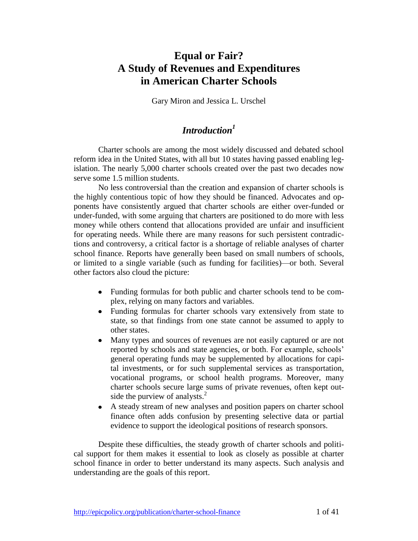## **Equal or Fair? A Study of Revenues and Expenditures in American Charter Schools**

Gary Miron and Jessica L. Urschel

## *Introduction<sup>1</sup>*

Charter schools are among the most widely discussed and debated school reform idea in the United States, with all but 10 states having passed enabling legislation. The nearly 5,000 charter schools created over the past two decades now serve some 1.5 million students.

No less controversial than the creation and expansion of charter schools is the highly contentious topic of how they should be financed. Advocates and opponents have consistently argued that charter schools are either over-funded or under-funded, with some arguing that charters are positioned to do more with less money while others contend that allocations provided are unfair and insufficient for operating needs. While there are many reasons for such persistent contradictions and controversy, a critical factor is a shortage of reliable analyses of charter school finance. Reports have generally been based on small numbers of schools, or limited to a single variable (such as funding for facilities)—or both. Several other factors also cloud the picture:

- Funding formulas for both public and charter schools tend to be complex, relying on many factors and variables.
- Funding formulas for charter schools vary extensively from state to state, so that findings from one state cannot be assumed to apply to other states.
- $\bullet$ Many types and sources of revenues are not easily captured or are not reported by schools and state agencies, or both. For example, schools' general operating funds may be supplemented by allocations for capital investments, or for such supplemental services as transportation, vocational programs, or school health programs. Moreover, many charter schools secure large sums of private revenues, often kept outside the purview of analysts. $<sup>2</sup>$ </sup>
- A steady stream of new analyses and position papers on charter school finance often adds confusion by presenting selective data or partial evidence to support the ideological positions of research sponsors.

Despite these difficulties, the steady growth of charter schools and political support for them makes it essential to look as closely as possible at charter school finance in order to better understand its many aspects. Such analysis and understanding are the goals of this report.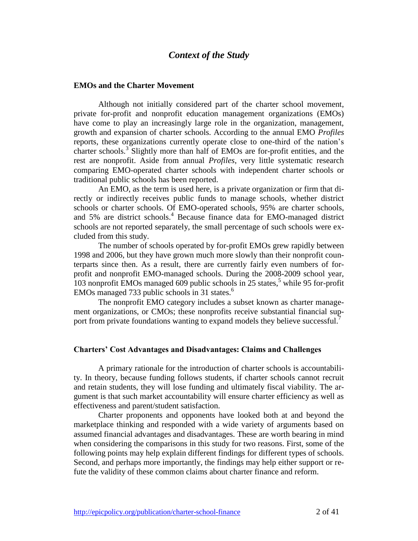## *Context of the Study*

#### **EMOs and the Charter Movement**

Although not initially considered part of the charter school movement, private for-profit and nonprofit education management organizations (EMOs) have come to play an increasingly large role in the organization, management, growth and expansion of charter schools. According to the annual EMO *Profiles* reports, these organizations currently operate close to one-third of the nation's charter schools.<sup>3</sup> Slightly more than half of EMOs are for-profit entities, and the rest are nonprofit. Aside from annual *Profiles*, very little systematic research comparing EMO-operated charter schools with independent charter schools or traditional public schools has been reported.

An EMO, as the term is used here, is a private organization or firm that directly or indirectly receives public funds to manage schools, whether district schools or charter schools. Of EMO-operated schools, 95% are charter schools, and 5% are district schools.<sup>4</sup> Because finance data for EMO-managed district schools are not reported separately, the small percentage of such schools were excluded from this study.

The number of schools operated by for-profit EMOs grew rapidly between 1998 and 2006, but they have grown much more slowly than their nonprofit counterparts since then. As a result, there are currently fairly even numbers of forprofit and nonprofit EMO-managed schools. During the 2008-2009 school year, 103 nonprofit EMOs managed 609 public schools in 25 states, <sup>5</sup> while 95 for-profit EMOs managed 733 public schools in 31 states.<sup>6</sup>

The nonprofit EMO category includes a subset known as charter management organizations, or CMOs; these nonprofits receive substantial financial support from private foundations wanting to expand models they believe successful.<sup>7</sup>

#### **Charters' Cost Advantages and Disadvantages: Claims and Challenges**

A primary rationale for the introduction of charter schools is accountability. In theory, because funding follows students, if charter schools cannot recruit and retain students, they will lose funding and ultimately fiscal viability. The argument is that such market accountability will ensure charter efficiency as well as effectiveness and parent/student satisfaction.

Charter proponents and opponents have looked both at and beyond the marketplace thinking and responded with a wide variety of arguments based on assumed financial advantages and disadvantages. These are worth bearing in mind when considering the comparisons in this study for two reasons. First, some of the following points may help explain different findings for different types of schools. Second, and perhaps more importantly, the findings may help either support or refute the validity of these common claims about charter finance and reform.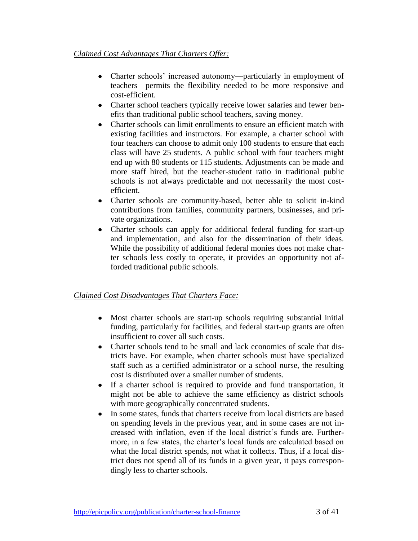- Charter schools' increased autonomy—particularly in employment of teachers—permits the flexibility needed to be more responsive and cost-efficient.
- Charter school teachers typically receive lower salaries and fewer benefits than traditional public school teachers, saving money.
- Charter schools can limit enrollments to ensure an efficient match with existing facilities and instructors. For example, a charter school with four teachers can choose to admit only 100 students to ensure that each class will have 25 students. A public school with four teachers might end up with 80 students or 115 students. Adjustments can be made and more staff hired, but the teacher-student ratio in traditional public schools is not always predictable and not necessarily the most costefficient.
- Charter schools are community-based, better able to solicit in-kind contributions from families, community partners, businesses, and private organizations.
- Charter schools can apply for additional federal funding for start-up and implementation, and also for the dissemination of their ideas. While the possibility of additional federal monies does not make charter schools less costly to operate, it provides an opportunity not afforded traditional public schools.

## *Claimed Cost Disadvantages That Charters Face:*

- Most charter schools are start-up schools requiring substantial initial funding, particularly for facilities, and federal start-up grants are often insufficient to cover all such costs.
- Charter schools tend to be small and lack economies of scale that districts have. For example, when charter schools must have specialized staff such as a certified administrator or a school nurse, the resulting cost is distributed over a smaller number of students.
- If a charter school is required to provide and fund transportation, it  $\bullet$ might not be able to achieve the same efficiency as district schools with more geographically concentrated students.
- In some states, funds that charters receive from local districts are based  $\bullet$ on spending levels in the previous year, and in some cases are not increased with inflation, even if the local district's funds are. Furthermore, in a few states, the charter's local funds are calculated based on what the local district spends, not what it collects. Thus, if a local district does not spend all of its funds in a given year, it pays correspondingly less to charter schools.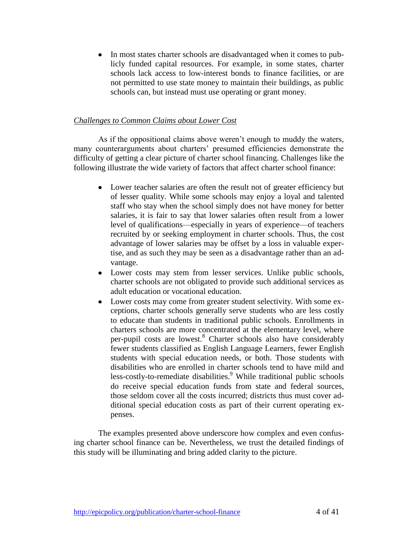In most states charter schools are disadvantaged when it comes to pub- $\bullet$ licly funded capital resources. For example, in some states, charter schools lack access to low-interest bonds to finance facilities, or are not permitted to use state money to maintain their buildings, as public schools can, but instead must use operating or grant money.

## *Challenges to Common Claims about Lower Cost*

As if the oppositional claims above weren't enough to muddy the waters, many counterarguments about charters' presumed efficiencies demonstrate the difficulty of getting a clear picture of charter school financing. Challenges like the following illustrate the wide variety of factors that affect charter school finance:

- Lower teacher salaries are often the result not of greater efficiency but of lesser quality. While some schools may enjoy a loyal and talented staff who stay when the school simply does not have money for better salaries, it is fair to say that lower salaries often result from a lower level of qualifications—especially in years of experience—of teachers recruited by or seeking employment in charter schools. Thus, the cost advantage of lower salaries may be offset by a loss in valuable expertise, and as such they may be seen as a disadvantage rather than an advantage.
- Lower costs may stem from lesser services. Unlike public schools,  $\bullet$ charter schools are not obligated to provide such additional services as adult education or vocational education.
- $\bullet$ Lower costs may come from greater student selectivity. With some exceptions, charter schools generally serve students who are less costly to educate than students in traditional public schools. Enrollments in charters schools are more concentrated at the elementary level, where per-pupil costs are lowest.<sup>8</sup> Charter schools also have considerably fewer students classified as English Language Learners, fewer English students with special education needs, or both. Those students with disabilities who are enrolled in charter schools tend to have mild and less-costly-to-remediate disabilities.<sup>9</sup> While traditional public schools do receive special education funds from state and federal sources, those seldom cover all the costs incurred; districts thus must cover additional special education costs as part of their current operating expenses.

The examples presented above underscore how complex and even confusing charter school finance can be. Nevertheless, we trust the detailed findings of this study will be illuminating and bring added clarity to the picture.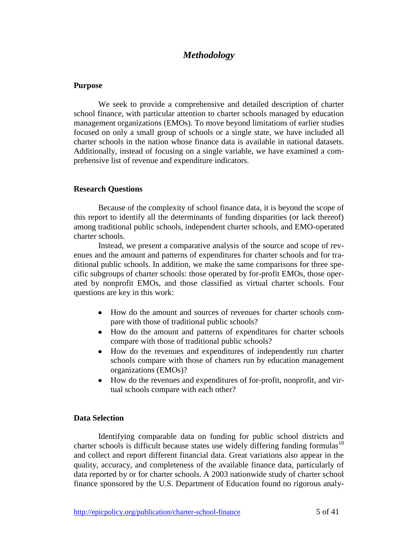## *Methodology*

#### **Purpose**

We seek to provide a comprehensive and detailed description of charter school finance, with particular attention to charter schools managed by education management organizations (EMOs). To move beyond limitations of earlier studies focused on only a small group of schools or a single state, we have included all charter schools in the nation whose finance data is available in national datasets. Additionally, instead of focusing on a single variable, we have examined a comprehensive list of revenue and expenditure indicators.

#### **Research Questions**

Because of the complexity of school finance data, it is beyond the scope of this report to identify all the determinants of funding disparities (or lack thereof) among traditional public schools, independent charter schools, and EMO-operated charter schools.

Instead, we present a comparative analysis of the source and scope of revenues and the amount and patterns of expenditures for charter schools and for traditional public schools. In addition, we make the same comparisons for three specific subgroups of charter schools: those operated by for-profit EMOs, those operated by nonprofit EMOs, and those classified as virtual charter schools. Four questions are key in this work:

- How do the amount and sources of revenues for charter schools compare with those of traditional public schools?
- How do the amount and patterns of expenditures for charter schools  $\bullet$ compare with those of traditional public schools?
- $\bullet$ How do the revenues and expenditures of independently run charter schools compare with those of charters run by education management organizations (EMOs)?
- How do the revenues and expenditures of for-profit, nonprofit, and virtual schools compare with each other?

## **Data Selection**

Identifying comparable data on funding for public school districts and charter schools is difficult because states use widely differing funding formulas<sup>10</sup> and collect and report different financial data. Great variations also appear in the quality, accuracy, and completeness of the available finance data, particularly of data reported by or for charter schools. A 2003 nationwide study of charter school finance sponsored by the U.S. Department of Education found no rigorous analy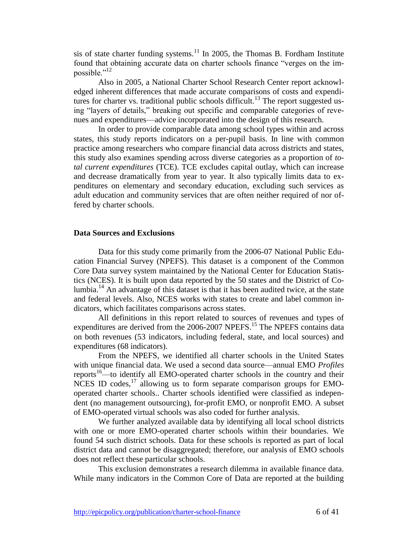sis of state charter funding systems.<sup>11</sup> In 2005, the Thomas B. Fordham Institute found that obtaining accurate data on charter schools finance "verges on the impossible."<sup>12</sup>

Also in 2005, a National Charter School Research Center report acknowledged inherent differences that made accurate comparisons of costs and expenditures for charter vs. traditional public schools difficult.<sup>13</sup> The report suggested using "layers of details," breaking out specific and comparable categories of revenues and expenditures—advice incorporated into the design of this research.

In order to provide comparable data among school types within and across states, this study reports indicators on a per-pupil basis. In line with common practice among researchers who compare financial data across districts and states, this study also examines spending across diverse categories as a proportion of *total current expenditures* (TCE). TCE excludes capital outlay, which can increase and decrease dramatically from year to year. It also typically limits data to expenditures on elementary and secondary education, excluding such services as adult education and community services that are often neither required of nor offered by charter schools.

#### **Data Sources and Exclusions**

Data for this study come primarily from the 2006-07 National Public Education Financial Survey (NPEFS). This dataset is a component of the Common Core Data survey system maintained by the National Center for Education Statistics (NCES). It is built upon data reported by the 50 states and the District of Columbia.<sup>14</sup> An advantage of this dataset is that it has been audited twice, at the state and federal levels. Also, NCES works with states to create and label common indicators, which facilitates comparisons across states.

All definitions in this report related to sources of revenues and types of expenditures are derived from the 2006-2007 NPEFS.<sup>15</sup> The NPEFS contains data on both revenues (53 indicators, including federal, state, and local sources) and expenditures (68 indicators).

From the NPEFS, we identified all charter schools in the United States with unique financial data. We used a second data source—annual EMO *Profiles* reports<sup>16</sup>—to identify all EMO-operated charter schools in the country and their NCES ID codes,  $17$  allowing us to form separate comparison groups for EMOoperated charter schools.. Charter schools identified were classified as independent (no management outsourcing), for-profit EMO, or nonprofit EMO. A subset of EMO-operated virtual schools was also coded for further analysis.

We further analyzed available data by identifying all local school districts with one or more EMO-operated charter schools within their boundaries. We found 54 such district schools. Data for these schools is reported as part of local district data and cannot be disaggregated; therefore, our analysis of EMO schools does not reflect these particular schools.

This exclusion demonstrates a research dilemma in available finance data. While many indicators in the Common Core of Data are reported at the building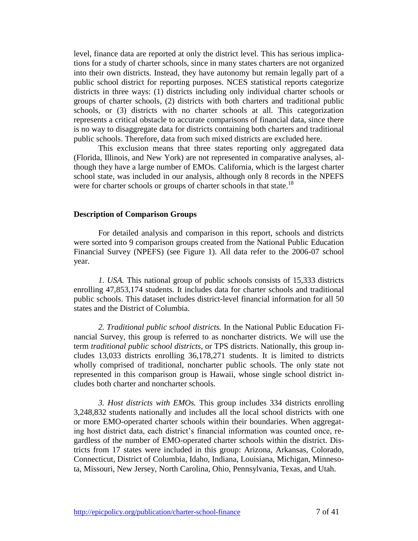level, finance data are reported at only the district level. This has serious implications for a study of charter schools, since in many states charters are not organized into their own districts. Instead, they have autonomy but remain legally part of a public school district for reporting purposes. NCES statistical reports categorize districts in three ways: (1) districts including only individual charter schools or groups of charter schools, (2) districts with both charters and traditional public schools, or (3) districts with no charter schools at all. This categorization represents a critical obstacle to accurate comparisons of financial data, since there is no way to disaggregate data for districts containing both charters and traditional public schools. Therefore, data from such mixed districts are excluded here.

This exclusion means that three states reporting only aggregated data (Florida, Illinois, and New York) are not represented in comparative analyses, although they have a large number of EMOs. California, which is the largest charter school state, was included in our analysis, although only 8 records in the NPEFS were for charter schools or groups of charter schools in that state.<sup>18</sup>

#### **Description of Comparison Groups**

For detailed analysis and comparison in this report, schools and districts were sorted into 9 comparison groups created from the National Public Education Financial Survey (NPEFS) (see Figure 1). All data refer to the 2006-07 school year.

*1. USA.* This national group of public schools consists of 15,333 districts enrolling 47,853,174 students. It includes data for charter schools and traditional public schools. This dataset includes district-level financial information for all 50 states and the District of Columbia.

*2. Traditional public school districts.* In the National Public Education Financial Survey, this group is referred to as noncharter districts. We will use the term *traditional public school districts*, or TPS districts. Nationally, this group includes 13,033 districts enrolling 36,178,271 students. It is limited to districts wholly comprised of traditional, noncharter public schools. The only state not represented in this comparison group is Hawaii, whose single school district includes both charter and noncharter schools.

*3. Host districts with EMOs.* This group includes 334 districts enrolling 3,248,832 students nationally and includes all the local school districts with one or more EMO-operated charter schools within their boundaries. When aggregating host district data, each district's financial information was counted once, regardless of the number of EMO-operated charter schools within the district. Districts from 17 states were included in this group: Arizona, Arkansas, Colorado, Connecticut, District of Columbia, Idaho, Indiana, Louisiana, Michigan, Minnesota, Missouri, New Jersey, North Carolina, Ohio, Pennsylvania, Texas, and Utah.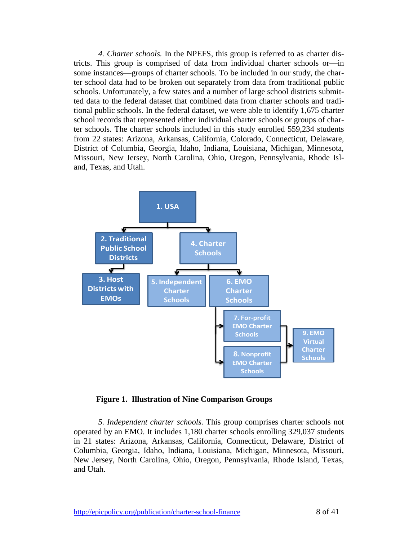*4. Charter schools.* In the NPEFS, this group is referred to as charter districts. This group is comprised of data from individual charter schools or—in some instances—groups of charter schools. To be included in our study, the charter school data had to be broken out separately from data from traditional public schools. Unfortunately, a few states and a number of large school districts submitted data to the federal dataset that combined data from charter schools and traditional public schools. In the federal dataset, we were able to identify 1,675 charter school records that represented either individual charter schools or groups of charter schools. The charter schools included in this study enrolled 559,234 students from 22 states: Arizona, Arkansas, California, Colorado, Connecticut, Delaware, District of Columbia, Georgia, Idaho, Indiana, Louisiana, Michigan, Minnesota, Missouri, New Jersey, North Carolina, Ohio, Oregon, Pennsylvania, Rhode Island, Texas, and Utah.



**Figure 1. Illustration of Nine Comparison Groups**

*5. Independent charter schools.* This group comprises charter schools not operated by an EMO. It includes 1,180 charter schools enrolling 329,037 students in 21 states: Arizona, Arkansas, California, Connecticut, Delaware, District of Columbia, Georgia, Idaho, Indiana, Louisiana, Michigan, Minnesota, Missouri, New Jersey, North Carolina, Ohio, Oregon, Pennsylvania, Rhode Island, Texas, and Utah.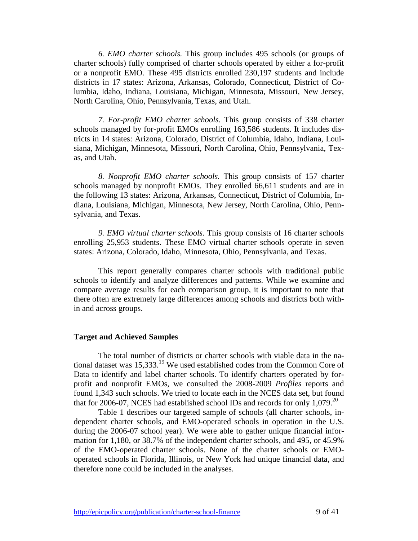*6. EMO charter schools.* This group includes 495 schools (or groups of charter schools) fully comprised of charter schools operated by either a for-profit or a nonprofit EMO. These 495 districts enrolled 230,197 students and include districts in 17 states: Arizona, Arkansas, Colorado, Connecticut, District of Columbia, Idaho, Indiana, Louisiana, Michigan, Minnesota, Missouri, New Jersey, North Carolina, Ohio, Pennsylvania, Texas, and Utah.

*7. For-profit EMO charter schools.* This group consists of 338 charter schools managed by for-profit EMOs enrolling 163,586 students. It includes districts in 14 states: Arizona, Colorado, District of Columbia, Idaho, Indiana, Louisiana, Michigan, Minnesota, Missouri, North Carolina, Ohio, Pennsylvania, Texas, and Utah.

*8. Nonprofit EMO charter schools.* This group consists of 157 charter schools managed by nonprofit EMOs. They enrolled 66,611 students and are in the following 13 states: Arizona, Arkansas, Connecticut, District of Columbia, Indiana, Louisiana, Michigan, Minnesota, New Jersey, North Carolina, Ohio, Pennsylvania, and Texas.

*9. EMO virtual charter schools*. This group consists of 16 charter schools enrolling 25,953 students. These EMO virtual charter schools operate in seven states: Arizona, Colorado, Idaho, Minnesota, Ohio, Pennsylvania, and Texas.

This report generally compares charter schools with traditional public schools to identify and analyze differences and patterns. While we examine and compare average results for each comparison group, it is important to note that there often are extremely large differences among schools and districts both within and across groups.

#### **Target and Achieved Samples**

The total number of districts or charter schools with viable data in the national dataset was  $15,333$ <sup>19</sup> We used established codes from the Common Core of Data to identify and label charter schools. To identify charters operated by forprofit and nonprofit EMOs, we consulted the 2008-2009 *Profiles* reports and found 1,343 such schools. We tried to locate each in the NCES data set, but found that for 2006-07, NCES had established school IDs and records for only  $1,079$ <sup>20</sup>

Table 1 describes our targeted sample of schools (all charter schools, independent charter schools, and EMO-operated schools in operation in the U.S. during the 2006-07 school year). We were able to gather unique financial information for 1,180, or 38.7% of the independent charter schools, and 495, or 45.9% of the EMO-operated charter schools. None of the charter schools or EMOoperated schools in Florida, Illinois, or New York had unique financial data, and therefore none could be included in the analyses.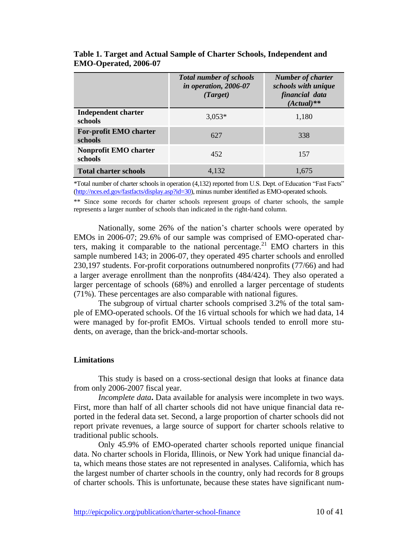|                                       | <b>Total number of schools</b><br>in operation, 2006-07<br>(Target) | <b>Number of charter</b><br>schools with unique<br>financial data<br>$(Actual)**$ |
|---------------------------------------|---------------------------------------------------------------------|-----------------------------------------------------------------------------------|
| Independent charter<br><b>schools</b> | $3.053*$                                                            | 1,180                                                                             |
| For-profit EMO charter<br>schools     | 627                                                                 | 338                                                                               |
| Nonprofit EMO charter<br>schools      | 452                                                                 | 157                                                                               |
| <b>Total charter schools</b>          | 4.132                                                               | 1.675                                                                             |

**Table 1. Target and Actual Sample of Charter Schools, Independent and EMO-Operated, 2006-07**

\*Total number of charter schools in operation (4,132) reported from U.S. Dept. of Education ―Fast Facts‖ [\(http://nces.ed.gov/fastfacts/display.asp?id=30\)](http://nces.ed.gov/fastfacts/display.asp?id=30), minus number identified as EMO-operated schools.

\*\* Since some records for charter schools represent groups of charter schools, the sample represents a larger number of schools than indicated in the right-hand column.

Nationally, some 26% of the nation's charter schools were operated by EMOs in 2006-07; 29.6% of our sample was comprised of EMO-operated charters, making it comparable to the national percentage.<sup>21</sup> EMO charters in this sample numbered 143; in 2006-07, they operated 495 charter schools and enrolled 230,197 students. For-profit corporations outnumbered nonprofits (77/66) and had a larger average enrollment than the nonprofits (484/424). They also operated a larger percentage of schools (68%) and enrolled a larger percentage of students (71%). These percentages are also comparable with national figures.

The subgroup of virtual charter schools comprised 3.2% of the total sample of EMO-operated schools. Of the 16 virtual schools for which we had data, 14 were managed by for-profit EMOs. Virtual schools tended to enroll more students, on average, than the brick-and-mortar schools.

#### **Limitations**

This study is based on a cross-sectional design that looks at finance data from only 2006-2007 fiscal year.

*Incomplete data***.** Data available for analysis were incomplete in two ways. First, more than half of all charter schools did not have unique financial data reported in the federal data set. Second, a large proportion of charter schools did not report private revenues, a large source of support for charter schools relative to traditional public schools.

Only 45.9% of EMO-operated charter schools reported unique financial data. No charter schools in Florida, Illinois, or New York had unique financial data, which means those states are not represented in analyses. California, which has the largest number of charter schools in the country, only had records for 8 groups of charter schools. This is unfortunate, because these states have significant num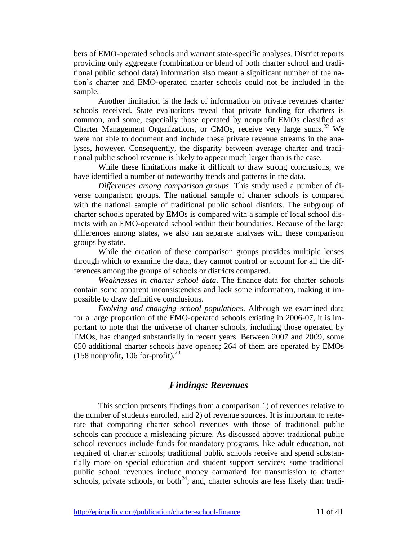bers of EMO-operated schools and warrant state-specific analyses. District reports providing only aggregate (combination or blend of both charter school and traditional public school data) information also meant a significant number of the nation's charter and EMO-operated charter schools could not be included in the sample.

Another limitation is the lack of information on private revenues charter schools received. State evaluations reveal that private funding for charters is common, and some, especially those operated by nonprofit EMOs classified as Charter Management Organizations, or CMOs, receive very large sums.<sup>22</sup> We were not able to document and include these private revenue streams in the analyses, however. Consequently, the disparity between average charter and traditional public school revenue is likely to appear much larger than is the case.

While these limitations make it difficult to draw strong conclusions, we have identified a number of noteworthy trends and patterns in the data.

*Differences among comparison groups*. This study used a number of diverse comparison groups. The national sample of charter schools is compared with the national sample of traditional public school districts. The subgroup of charter schools operated by EMOs is compared with a sample of local school districts with an EMO-operated school within their boundaries. Because of the large differences among states, we also ran separate analyses with these comparison groups by state.

While the creation of these comparison groups provides multiple lenses through which to examine the data, they cannot control or account for all the differences among the groups of schools or districts compared.

*Weaknesses in charter school data*. The finance data for charter schools contain some apparent inconsistencies and lack some information, making it impossible to draw definitive conclusions.

*Evolving and changing school populations*. Although we examined data for a large proportion of the EMO-operated schools existing in 2006-07, it is important to note that the universe of charter schools, including those operated by EMOs, has changed substantially in recent years. Between 2007 and 2009, some 650 additional charter schools have opened; 264 of them are operated by EMOs  $(158$  nonprofit, 106 for-profit).<sup>23</sup>

## *Findings: Revenues*

This section presents findings from a comparison 1) of revenues relative to the number of students enrolled, and 2) of revenue sources. It is important to reiterate that comparing charter school revenues with those of traditional public schools can produce a misleading picture. As discussed above: traditional public school revenues include funds for mandatory programs, like adult education, not required of charter schools; traditional public schools receive and spend substantially more on special education and student support services; some traditional public school revenues include money earmarked for transmission to charter schools, private schools, or both<sup>24</sup>; and, charter schools are less likely than tradi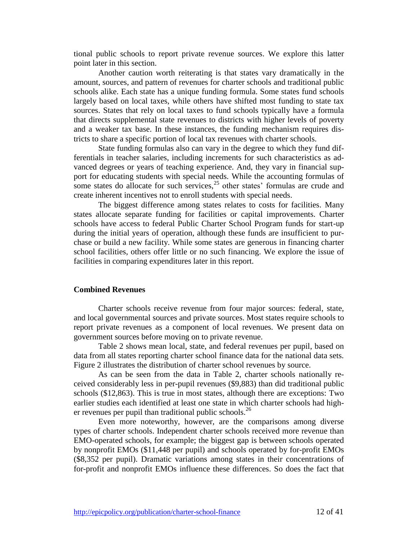tional public schools to report private revenue sources. We explore this latter point later in this section.

Another caution worth reiterating is that states vary dramatically in the amount, sources, and pattern of revenues for charter schools and traditional public schools alike. Each state has a unique funding formula. Some states fund schools largely based on local taxes, while others have shifted most funding to state tax sources. States that rely on local taxes to fund schools typically have a formula that directs supplemental state revenues to districts with higher levels of poverty and a weaker tax base. In these instances, the funding mechanism requires districts to share a specific portion of local tax revenues with charter schools.

State funding formulas also can vary in the degree to which they fund differentials in teacher salaries, including increments for such characteristics as advanced degrees or years of teaching experience. And, they vary in financial support for educating students with special needs. While the accounting formulas of some states do allocate for such services,  $2<sup>5</sup>$  other states' formulas are crude and create inherent incentives not to enroll students with special needs.

The biggest difference among states relates to costs for facilities. Many states allocate separate funding for facilities or capital improvements. Charter schools have access to federal Public Charter School Program funds for start-up during the initial years of operation, although these funds are insufficient to purchase or build a new facility. While some states are generous in financing charter school facilities, others offer little or no such financing. We explore the issue of facilities in comparing expenditures later in this report.

## **Combined Revenues**

Charter schools receive revenue from four major sources: federal, state, and local governmental sources and private sources. Most states require schools to report private revenues as a component of local revenues. We present data on government sources before moving on to private revenue.

Table 2 shows mean local, state, and federal revenues per pupil, based on data from all states reporting charter school finance data for the national data sets. Figure 2 illustrates the distribution of charter school revenues by source.

As can be seen from the data in Table 2, charter schools nationally received considerably less in per-pupil revenues (\$9,883) than did traditional public schools (\$12,863). This is true in most states, although there are exceptions: Two earlier studies each identified at least one state in which charter schools had higher revenues per pupil than traditional public schools.<sup>26</sup>

Even more noteworthy, however, are the comparisons among diverse types of charter schools. Independent charter schools received more revenue than EMO-operated schools, for example; the biggest gap is between schools operated by nonprofit EMOs (\$11,448 per pupil) and schools operated by for-profit EMOs (\$8,352 per pupil). Dramatic variations among states in their concentrations of for-profit and nonprofit EMOs influence these differences. So does the fact that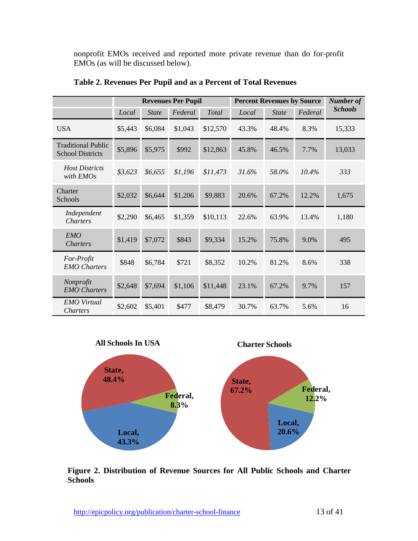nonprofit EMOs received and reported more private revenue than do for-profit EMOs (as will be discussed below).

|                                                      | <b>Revenues Per Pupil</b> |              |         |          | <b>Percent Revenues by Source</b> |              |         | <b>Number of</b> |
|------------------------------------------------------|---------------------------|--------------|---------|----------|-----------------------------------|--------------|---------|------------------|
|                                                      | Local                     | <b>State</b> | Federal | Total    | Local                             | <b>State</b> | Federal | <b>Schools</b>   |
| <b>USA</b>                                           | \$5,443                   | \$6,084      | \$1,043 | \$12,570 | 43.3%                             | 48.4%        | 8.3%    | 15,333           |
| <b>Traditional Public</b><br><b>School Districts</b> | \$5,896                   | \$5,975      | \$992   | \$12,863 | 45.8%                             | 46.5%        | 7.7%    | 13,033           |
| <b>Host Districts</b><br>with EMOs                   | \$3,623                   | \$6,655      | \$1,196 | \$11,473 | 31.6%                             | 58.0%        | 10.4%   | 333              |
| Charter<br>Schools                                   | \$2,032                   | \$6,644      | \$1,206 | \$9,883  | 20.6%                             | 67.2%        | 12.2%   | 1,675            |
| Independent<br><i>Charters</i>                       | \$2,290                   | \$6,465      | \$1,359 | \$10,113 | 22.6%                             | 63.9%        | 13.4%   | 1,180            |
| EMO<br><i>Charters</i>                               | \$1,419                   | \$7,072      | \$843   | \$9,334  | 15.2%                             | 75.8%        | 9.0%    | 495              |
| For-Profit<br><b>EMO</b> Charters                    | \$848                     | \$6,784      | \$721   | \$8,352  | 10.2%                             | 81.2%        | 8.6%    | 338              |
| Nonprofit<br><b>EMO</b> Charters                     | \$2,648                   | \$7,694      | \$1,106 | \$11,448 | 23.1%                             | 67.2%        | 9.7%    | 157              |
| <b>EMO</b> Virtual<br>Charters                       | \$2,602                   | \$5,401      | \$477   | \$8,479  | 30.7%                             | 63.7%        | 5.6%    | 16               |

**Table 2. Revenues Per Pupil and as a Percent of Total Revenues**



**Figure 2. Distribution of Revenue Sources for All Public Schools and Charter Schools**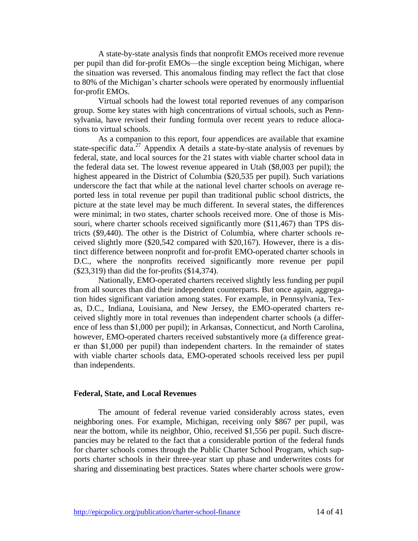A state-by-state analysis finds that nonprofit EMOs received more revenue per pupil than did for-profit EMOs—the single exception being Michigan, where the situation was reversed. This anomalous finding may reflect the fact that close to 80% of the Michigan's charter schools were operated by enormously influential for-profit EMOs.

Virtual schools had the lowest total reported revenues of any comparison group. Some key states with high concentrations of virtual schools, such as Pennsylvania, have revised their funding formula over recent years to reduce allocations to virtual schools.

As a companion to this report, four appendices are available that examine state-specific data.<sup>27</sup> Appendix A details a state-by-state analysis of revenues by federal, state, and local sources for the 21 states with viable charter school data in the federal data set. The lowest revenue appeared in Utah (\$8,003 per pupil); the highest appeared in the District of Columbia (\$20,535 per pupil). Such variations underscore the fact that while at the national level charter schools on average reported less in total revenue per pupil than traditional public school districts, the picture at the state level may be much different. In several states, the differences were minimal; in two states, charter schools received more. One of those is Missouri, where charter schools received significantly more (\$11,467) than TPS districts (\$9,440). The other is the District of Columbia, where charter schools received slightly more (\$20,542 compared with \$20,167). However, there is a distinct difference between nonprofit and for-profit EMO-operated charter schools in D.C., where the nonprofits received significantly more revenue per pupil (\$23,319) than did the for-profits (\$14,374).

Nationally, EMO-operated charters received slightly less funding per pupil from all sources than did their independent counterparts. But once again, aggregation hides significant variation among states. For example, in Pennsylvania, Texas, D.C., Indiana, Louisiana, and New Jersey, the EMO-operated charters received slightly more in total revenues than independent charter schools (a difference of less than \$1,000 per pupil); in Arkansas, Connecticut, and North Carolina, however, EMO-operated charters received substantively more (a difference greater than \$1,000 per pupil) than independent charters. In the remainder of states with viable charter schools data, EMO-operated schools received less per pupil than independents.

#### **Federal, State, and Local Revenues**

The amount of federal revenue varied considerably across states, even neighboring ones. For example, Michigan, receiving only \$867 per pupil, was near the bottom, while its neighbor, Ohio, received \$1,556 per pupil. Such discrepancies may be related to the fact that a considerable portion of the federal funds for charter schools comes through the Public Charter School Program, which supports charter schools in their three-year start up phase and underwrites costs for sharing and disseminating best practices. States where charter schools were grow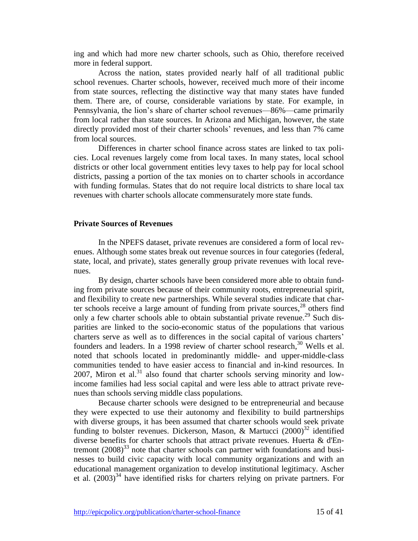ing and which had more new charter schools, such as Ohio, therefore received more in federal support.

Across the nation, states provided nearly half of all traditional public school revenues. Charter schools, however, received much more of their income from state sources, reflecting the distinctive way that many states have funded them. There are, of course, considerable variations by state. For example, in Pennsylvania, the lion's share of charter school revenues—86%—came primarily from local rather than state sources. In Arizona and Michigan, however, the state directly provided most of their charter schools' revenues, and less than 7% came from local sources.

Differences in charter school finance across states are linked to tax policies. Local revenues largely come from local taxes. In many states, local school districts or other local government entities levy taxes to help pay for local school districts, passing a portion of the tax monies on to charter schools in accordance with funding formulas. States that do not require local districts to share local tax revenues with charter schools allocate commensurately more state funds.

### **Private Sources of Revenues**

In the NPEFS dataset, private revenues are considered a form of local revenues. Although some states break out revenue sources in four categories (federal, state, local, and private), states generally group private revenues with local revenues.

By design, charter schools have been considered more able to obtain funding from private sources because of their community roots, entrepreneurial spirit, and flexibility to create new partnerships. While several studies indicate that charter schools receive a large amount of funding from private sources, <sup>28</sup> others find only a few charter schools able to obtain substantial private revenue.<sup>29</sup> Such disparities are linked to the socio-economic status of the populations that various charters serve as well as to differences in the social capital of various charters' founders and leaders. In a 1998 review of charter school research,<sup>30</sup> Wells et al. noted that schools located in predominantly middle- and upper-middle-class communities tended to have easier access to financial and in-kind resources. In 2007, Miron et al.<sup>31</sup> also found that charter schools serving minority and lowincome families had less social capital and were less able to attract private revenues than schools serving middle class populations.

Because charter schools were designed to be entrepreneurial and because they were expected to use their autonomy and flexibility to build partnerships with diverse groups, it has been assumed that charter schools would seek private funding to bolster revenues. Dickerson, Mason, & Martucci  $(2000)^{32}$  identified diverse benefits for charter schools that attract private revenues. Huerta & d'Entremont  $(2008)^{33}$  note that charter schools can partner with foundations and businesses to build civic capacity with local community organizations and with an educational management organization to develop institutional legitimacy. Ascher et al.  $(2003)^{34}$  have identified risks for charters relying on private partners. For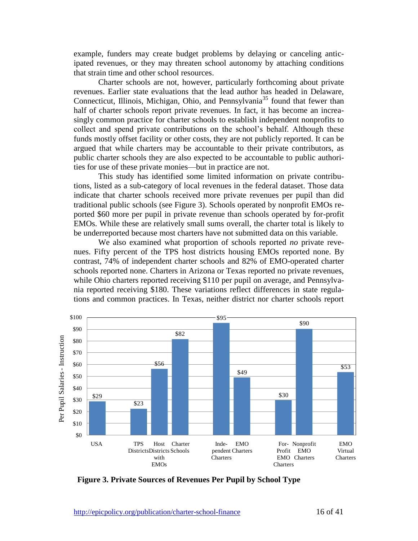example, funders may create budget problems by delaying or canceling anticipated revenues, or they may threaten school autonomy by attaching conditions that strain time and other school resources.

Charter schools are not, however, particularly forthcoming about private revenues. Earlier state evaluations that the lead author has headed in Delaware, Connecticut, Illinois, Michigan, Ohio, and Pennsylvania<sup>35</sup> found that fewer than half of charter schools report private revenues. In fact, it has become an increasingly common practice for charter schools to establish independent nonprofits to collect and spend private contributions on the school's behalf. Although these funds mostly offset facility or other costs, they are not publicly reported. It can be argued that while charters may be accountable to their private contributors, as public charter schools they are also expected to be accountable to public authorities for use of these private monies—but in practice are not.

This study has identified some limited information on private contributions, listed as a sub-category of local revenues in the federal dataset. Those data indicate that charter schools received more private revenues per pupil than did traditional public schools (see Figure 3). Schools operated by nonprofit EMOs reported \$60 more per pupil in private revenue than schools operated by for-profit EMOs. While these are relatively small sums overall, the charter total is likely to be underreported because most charters have not submitted data on this variable.

We also examined what proportion of schools reported *no* private revenues. Fifty percent of the TPS host districts housing EMOs reported none. By contrast, 74% of independent charter schools and 82% of EMO-operated charter schools reported none. Charters in Arizona or Texas reported no private revenues, while Ohio charters reported receiving \$110 per pupil on average, and Pennsylvania reported receiving \$180. These variations reflect differences in state regulations and common practices. In Texas, neither district nor charter schools report



**Figure 3. Private Sources of Revenues Per Pupil by School Type**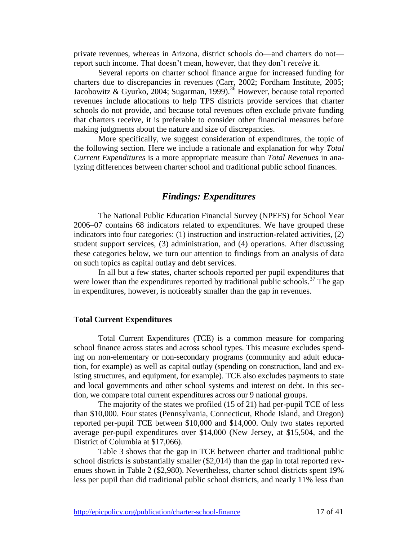private revenues, whereas in Arizona, district schools do—and charters do not report such income. That doesn't mean, however, that they don't *receive* it.

Several reports on charter school finance argue for increased funding for charters due to discrepancies in revenues (Carr, 2002; Fordham Institute, 2005; Jacobowitz & Gyurko, 2004; Sugarman, 1999).<sup>36</sup> However, because total reported revenues include allocations to help TPS districts provide services that charter schools do not provide, and because total revenues often exclude private funding that charters receive, it is preferable to consider other financial measures before making judgments about the nature and size of discrepancies.

More specifically, we suggest consideration of expenditures, the topic of the following section. Here we include a rationale and explanation for why *Total Current Expenditures* is a more appropriate measure than *Total Revenues* in analyzing differences between charter school and traditional public school finances.

## *Findings: Expenditures*

The National Public Education Financial Survey (NPEFS) for School Year 2006–07 contains 68 indicators related to expenditures. We have grouped these indicators into four categories: (1) instruction and instruction-related activities, (2) student support services, (3) administration, and (4) operations. After discussing these categories below, we turn our attention to findings from an analysis of data on such topics as capital outlay and debt services.

In all but a few states, charter schools reported per pupil expenditures that were lower than the expenditures reported by traditional public schools.<sup>37</sup> The gap in expenditures, however, is noticeably smaller than the gap in revenues.

#### **Total Current Expenditures**

Total Current Expenditures (TCE) is a common measure for comparing school finance across states and across school types. This measure excludes spending on non-elementary or non-secondary programs (community and adult education, for example) as well as capital outlay (spending on construction, land and existing structures, and equipment, for example). TCE also excludes payments to state and local governments and other school systems and interest on debt. In this section, we compare total current expenditures across our 9 national groups.

The majority of the states we profiled (15 of 21) had per-pupil TCE of less than \$10,000. Four states (Pennsylvania, Connecticut, Rhode Island, and Oregon) reported per-pupil TCE between \$10,000 and \$14,000. Only two states reported average per-pupil expenditures over \$14,000 (New Jersey, at \$15,504, and the District of Columbia at \$17,066).

Table 3 shows that the gap in TCE between charter and traditional public school districts is substantially smaller  $(\text{$}2,014)$  than the gap in total reported revenues shown in Table 2 (\$2,980). Nevertheless, charter school districts spent 19% less per pupil than did traditional public school districts, and nearly 11% less than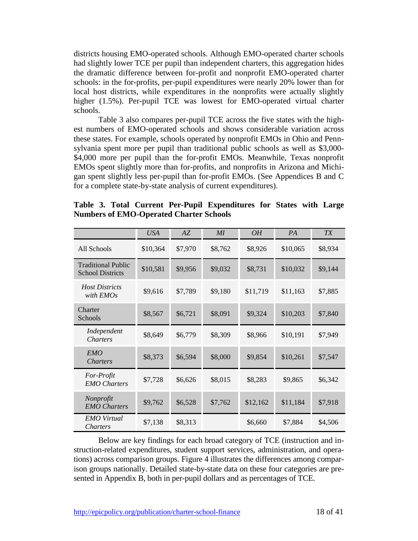districts housing EMO-operated schools. Although EMO-operated charter schools had slightly lower TCE per pupil than independent charters, this aggregation hides the dramatic difference between for-profit and nonprofit EMO-operated charter schools: in the for-profits, per-pupil expenditures were nearly 20% lower than for local host districts, while expenditures in the nonprofits were actually slightly higher (1.5%). Per-pupil TCE was lowest for EMO-operated virtual charter schools.

Table 3 also compares per-pupil TCE across the five states with the highest numbers of EMO-operated schools and shows considerable variation across these states. For example, schools operated by nonprofit EMOs in Ohio and Pennsylvania spent more per pupil than traditional public schools as well as \$3,000- \$4,000 more per pupil than the for-profit EMOs. Meanwhile, Texas nonprofit EMOs spent slightly more than for-profits, and nonprofits in Arizona and Michigan spent slightly less per-pupil than for-profit EMOs. (See Appendices B and C for a complete state-by-state analysis of current expenditures).

|                                                      | USA      | AZ      | MI      | OН       | <i>PA</i> | TX      |
|------------------------------------------------------|----------|---------|---------|----------|-----------|---------|
| All Schools                                          | \$10,364 | \$7,970 | \$8,762 | \$8,926  | \$10,065  | \$8,934 |
| <b>Traditional Public</b><br><b>School Districts</b> | \$10,581 | \$9,956 | \$9,032 | \$8,731  | \$10,032  | \$9,144 |
| <b>Host Districts</b><br>with EMOs                   | \$9,616  | \$7,789 | \$9,180 | \$11,719 | \$11,163  | \$7,885 |
| Charter<br>Schools                                   | \$8,567  | \$6,721 | \$8,091 | \$9,324  | \$10,203  | \$7,840 |
| Independent<br>Charters                              | \$8,649  | \$6,779 | \$8,309 | \$8,966  | \$10,191  | \$7,949 |
| EMO<br><b>Charters</b>                               | \$8,373  | \$6,594 | \$8,000 | \$9,854  | \$10,261  | \$7,547 |
| For-Profit<br><b>EMO</b> Charters                    | \$7,728  | \$6,626 | \$8,015 | \$8,283  | \$9,865   | \$6,342 |
| Nonprofit<br><b>EMO</b> Charters                     | \$9,762  | \$6,528 | \$7,762 | \$12,162 | \$11,184  | \$7,918 |
| <b>EMO</b> Virtual<br><b>Charters</b>                | \$7,138  | \$8,313 |         | \$6,660  | \$7,884   | \$4,506 |

**Table 3. Total Current Per-Pupil Expenditures for States with Large Numbers of EMO-Operated Charter Schools**

Below are key findings for each broad category of TCE (instruction and instruction-related expenditures, student support services, administration, and operations) across comparison groups. Figure 4 illustrates the differences among comparison groups nationally. Detailed state-by-state data on these four categories are presented in Appendix B, both in per-pupil dollars and as percentages of TCE.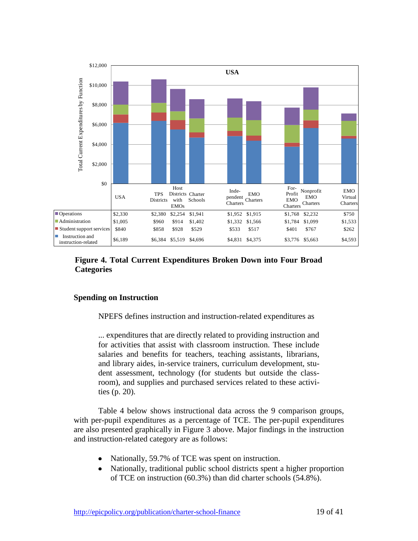

## **Figure 4. Total Current Expenditures Broken Down into Four Broad Categories**

## **Spending on Instruction**

NPEFS defines instruction and instruction-related expenditures as

... expenditures that are directly related to providing instruction and for activities that assist with classroom instruction. These include salaries and benefits for teachers, teaching assistants, librarians, and library aides, in-service trainers, curriculum development, student assessment, technology (for students but outside the classroom), and supplies and purchased services related to these activities (p. 20).

Table 4 below shows instructional data across the 9 comparison groups, with per-pupil expenditures as a percentage of TCE. The per-pupil expenditures are also presented graphically in Figure 3 above. Major findings in the instruction and instruction-related category are as follows:

- Nationally, 59.7% of TCE was spent on instruction.
- Nationally, traditional public school districts spent a higher proportion of TCE on instruction (60.3%) than did charter schools (54.8%).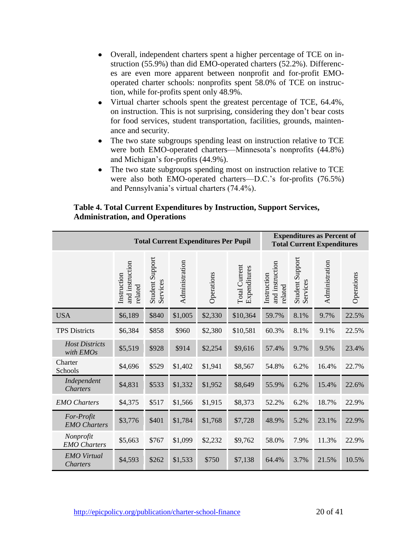- Overall, independent charters spent a higher percentage of TCE on instruction (55.9%) than did EMO-operated charters (52.2%). Differences are even more apparent between nonprofit and for-profit EMOoperated charter schools: nonprofits spent 58.0% of TCE on instruction, while for-profits spent only 48.9%.
- Virtual charter schools spent the greatest percentage of TCE, 64.4%,  $\bullet$ on instruction. This is not surprising, considering they don't bear costs for food services, student transportation, facilities, grounds, maintenance and security.
- The two state subgroups spending least on instruction relative to TCE were both EMO-operated charters—Minnesota's nonprofits (44.8%) and Michigan's for-profits (44.9%).
- The two state subgroups spending most on instruction relative to TCE were also both EMO-operated charters—D.C.'s for-profits (76.5%) and Pennsylvania's virtual charters (74.4%).

| <b>Total Current Expenditures Per Pupil</b> |                                           |                             |                |            |                                      | <b>Expenditures as Percent of</b><br><b>Total Current Expenditures</b> |                             |                |            |
|---------------------------------------------|-------------------------------------------|-----------------------------|----------------|------------|--------------------------------------|------------------------------------------------------------------------|-----------------------------|----------------|------------|
|                                             | and instruction<br>Instruction<br>related | Student Support<br>Services | Administration | Operations | <b>Total Current</b><br>Expenditures | and instruction<br>Instruction<br>related                              | Student Support<br>Services | Administration | Operations |
| <b>USA</b>                                  | \$6,189                                   | \$840                       | \$1,005        | \$2,330    | \$10,364                             | 59.7%                                                                  | 8.1%                        | 9.7%           | 22.5%      |
| <b>TPS Districts</b>                        | \$6,384                                   | \$858                       | \$960          | \$2,380    | \$10,581                             | 60.3%                                                                  | 8.1%                        | 9.1%           | 22.5%      |
| <b>Host Districts</b><br>with EMOs          | \$5,519                                   | \$928                       | \$914          | \$2,254    | \$9,616                              | 57.4%                                                                  | 9.7%                        | 9.5%           | 23.4%      |
| Charter<br>Schools                          | \$4,696                                   | \$529                       | \$1,402        | \$1,941    | \$8,567                              | 54.8%                                                                  | 6.2%                        | 16.4%          | 22.7%      |
| Independent<br><b>Charters</b>              | \$4,831                                   | \$533                       | \$1,332        | \$1,952    | \$8,649                              | 55.9%                                                                  | 6.2%                        | 15.4%          | 22.6%      |
| <b>EMO</b> Charters                         | \$4,375                                   | \$517                       | \$1,566        | \$1,915    | \$8,373                              | 52.2%                                                                  | 6.2%                        | 18.7%          | 22.9%      |
| For-Profit<br><b>EMO</b> Charters           | \$3,776                                   | \$401                       | \$1,784        | \$1,768    | \$7,728                              | 48.9%                                                                  | 5.2%                        | 23.1%          | 22.9%      |
| Nonprofit<br><b>EMO</b> Charters            | \$5,663                                   | \$767                       | \$1,099        | \$2,232    | \$9,762                              | 58.0%                                                                  | 7.9%                        | 11.3%          | 22.9%      |
| <b>EMO</b> Virtual<br><b>Charters</b>       | \$4,593                                   | \$262                       | \$1,533        | \$750      | \$7,138                              | 64.4%                                                                  | 3.7%                        | 21.5%          | 10.5%      |

## **Table 4. Total Current Expenditures by Instruction, Support Services, Administration, and Operations**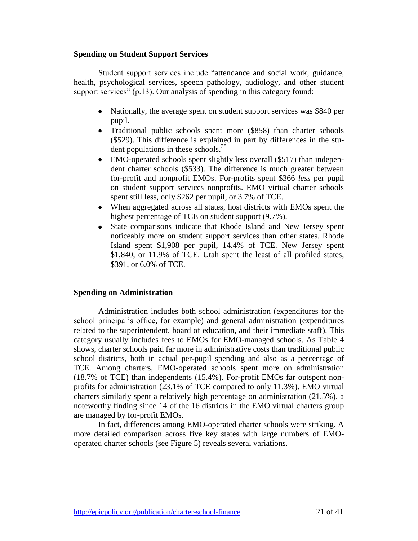## **Spending on Student Support Services**

Student support services include "attendance and social work, guidance, health, psychological services, speech pathology, audiology, and other student support services"  $(p.13)$ . Our analysis of spending in this category found:

- Nationally, the average spent on student support services was \$840 per pupil.
- Traditional public schools spent more (\$858) than charter schools (\$529). This difference is explained in part by differences in the student populations in these schools.<sup>38</sup>
- EMO-operated schools spent slightly less overall (\$517) than indepen- $\bullet$ dent charter schools (\$533). The difference is much greater between for-profit and nonprofit EMOs. For-profits spent \$366 *less* per pupil on student support services nonprofits. EMO virtual charter schools spent still less, only \$262 per pupil, or 3.7% of TCE.
- When aggregated across all states, host districts with EMOs spent the highest percentage of TCE on student support (9.7%).
- State comparisons indicate that Rhode Island and New Jersey spent  $\bullet$ noticeably more on student support services than other states. Rhode Island spent \$1,908 per pupil, 14.4% of TCE. New Jersey spent \$1,840, or 11.9% of TCE. Utah spent the least of all profiled states, \$391, or 6.0% of TCE.

## **Spending on Administration**

Administration includes both school administration (expenditures for the school principal's office, for example) and general administration (expenditures related to the superintendent, board of education, and their immediate staff). This category usually includes fees to EMOs for EMO-managed schools. As Table 4 shows, charter schools paid far more in administrative costs than traditional public school districts, both in actual per-pupil spending and also as a percentage of TCE. Among charters, EMO-operated schools spent more on administration (18.7% of TCE) than independents (15.4%). For-profit EMOs far outspent nonprofits for administration (23.1% of TCE compared to only 11.3%). EMO virtual charters similarly spent a relatively high percentage on administration (21.5%), a noteworthy finding since 14 of the 16 districts in the EMO virtual charters group are managed by for-profit EMOs.

In fact, differences among EMO-operated charter schools were striking. A more detailed comparison across five key states with large numbers of EMOoperated charter schools (see Figure 5) reveals several variations.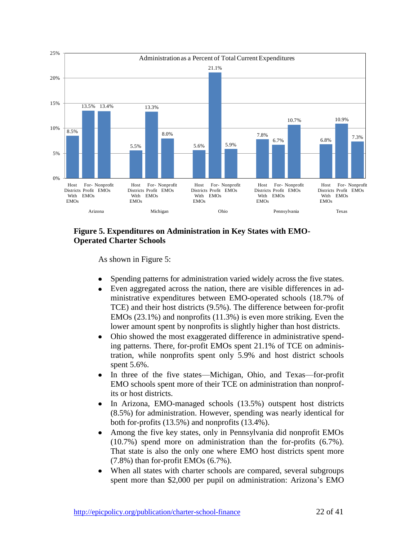

## **Figure 5. Expenditures on Administration in Key States with EMO-Operated Charter Schools**

As shown in Figure 5:

- Spending patterns for administration varied widely across the five states.
- Even aggregated across the nation, there are visible differences in administrative expenditures between EMO-operated schools (18.7% of TCE) and their host districts (9.5%). The difference between for-profit EMOs (23.1%) and nonprofits (11.3%) is even more striking. Even the lower amount spent by nonprofits is slightly higher than host districts.
- Ohio showed the most exaggerated difference in administrative spend- $\bullet$ ing patterns. There, for-profit EMOs spent 21.1% of TCE on administration, while nonprofits spent only 5.9% and host district schools spent 5.6%.
- In three of the five states—Michigan, Ohio, and Texas—for-profit EMO schools spent more of their TCE on administration than nonprofits or host districts.
- In Arizona, EMO-managed schools (13.5%) outspent host districts  $\bullet$ (8.5%) for administration. However, spending was nearly identical for both for-profits (13.5%) and nonprofits (13.4%).
- Among the five key states, only in Pennsylvania did nonprofit EMOs (10.7%) spend more on administration than the for-profits (6.7%). That state is also the only one where EMO host districts spent more (7.8%) than for-profit EMOs (6.7%).
- When all states with charter schools are compared, several subgroups spent more than \$2,000 per pupil on administration: Arizona's EMO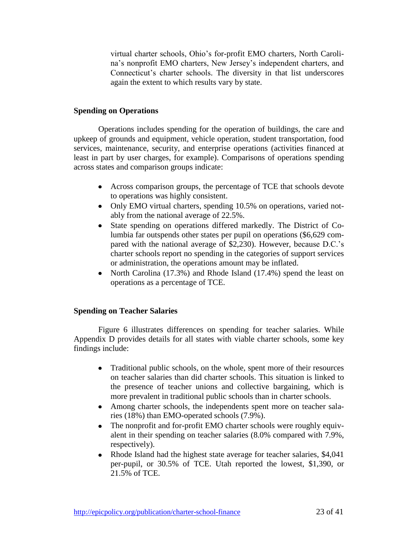virtual charter schools, Ohio's for-profit EMO charters, North Carolina's nonprofit EMO charters, New Jersey's independent charters, and Connecticut's charter schools. The diversity in that list underscores again the extent to which results vary by state.

## **Spending on Operations**

Operations includes spending for the operation of buildings, the care and upkeep of grounds and equipment, vehicle operation, student transportation, food services, maintenance, security, and enterprise operations (activities financed at least in part by user charges, for example). Comparisons of operations spending across states and comparison groups indicate:

- Across comparison groups, the percentage of TCE that schools devote to operations was highly consistent.
- Only EMO virtual charters, spending 10.5% on operations, varied notably from the national average of 22.5%.
- $\bullet$ State spending on operations differed markedly. The District of Columbia far outspends other states per pupil on operations (\$6,629 compared with the national average of \$2,230). However, because D.C.'s charter schools report no spending in the categories of support services or administration, the operations amount may be inflated.
- North Carolina (17.3%) and Rhode Island (17.4%) spend the least on  $\bullet$ operations as a percentage of TCE.

## **Spending on Teacher Salaries**

Figure 6 illustrates differences on spending for teacher salaries. While Appendix D provides details for all states with viable charter schools, some key findings include:

- Traditional public schools, on the whole, spent more of their resources on teacher salaries than did charter schools. This situation is linked to the presence of teacher unions and collective bargaining, which is more prevalent in traditional public schools than in charter schools.
- Among charter schools, the independents spent more on teacher salaries (18%) than EMO-operated schools (7.9%).
- The nonprofit and for-profit EMO charter schools were roughly equiv- $\bullet$ alent in their spending on teacher salaries (8.0% compared with 7.9%, respectively).
- Rhode Island had the highest state average for teacher salaries, \$4,041  $\bullet$ per-pupil, or 30.5% of TCE. Utah reported the lowest, \$1,390, or 21.5% of TCE.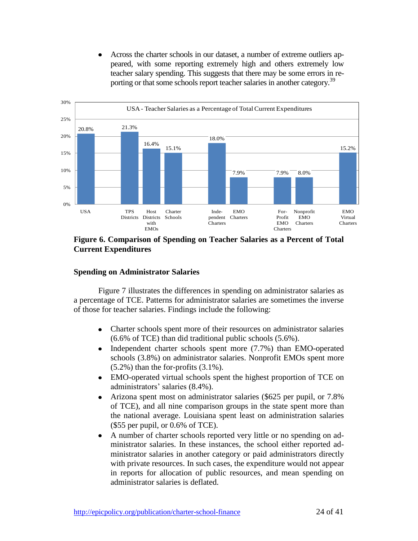Across the charter schools in our dataset, a number of extreme outliers appeared, with some reporting extremely high and others extremely low teacher salary spending. This suggests that there may be some errors in reporting or that some schools report teacher salaries in another category.<sup>39</sup>



### **Figure 6. Comparison of Spending on Teacher Salaries as a Percent of Total Current Expenditures**

## **Spending on Administrator Salaries**

Figure 7 illustrates the differences in spending on administrator salaries as a percentage of TCE. Patterns for administrator salaries are sometimes the inverse of those for teacher salaries. Findings include the following:

- Charter schools spent more of their resources on administrator salaries  $\bullet$ (6.6% of TCE) than did traditional public schools (5.6%).
- $\bullet$ Independent charter schools spent more (7.7%) than EMO-operated schools (3.8%) on administrator salaries. Nonprofit EMOs spent more (5.2%) than the for-profits (3.1%).
- EMO-operated virtual schools spent the highest proportion of TCE on  $\bullet$ administrators' salaries (8.4%).
- Arizona spent most on administrator salaries (\$625 per pupil, or 7.8%  $\bullet$ of TCE), and all nine comparison groups in the state spent more than the national average. Louisiana spent least on administration salaries (\$55 per pupil, or 0.6% of TCE).
- A number of charter schools reported very little or no spending on ad- $\bullet$ ministrator salaries. In these instances, the school either reported administrator salaries in another category or paid administrators directly with private resources. In such cases, the expenditure would not appear in reports for allocation of public resources, and mean spending on administrator salaries is deflated.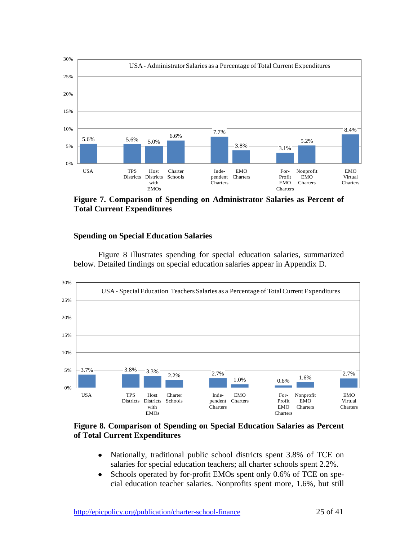

**Figure 7. Comparison of Spending on Administrator Salaries as Percent of Total Current Expenditures**

## **Spending on Special Education Salaries**

Figure 8 illustrates spending for special education salaries, summarized below. Detailed findings on special education salaries appear in Appendix D.



## **Figure 8. Comparison of Spending on Special Education Salaries as Percent of Total Current Expenditures**

- Nationally, traditional public school districts spent 3.8% of TCE on  $\bullet$ salaries for special education teachers; all charter schools spent 2.2%.
- Schools operated by for-profit EMOs spent only 0.6% of TCE on spe- $\bullet$ cial education teacher salaries. Nonprofits spent more, 1.6%, but still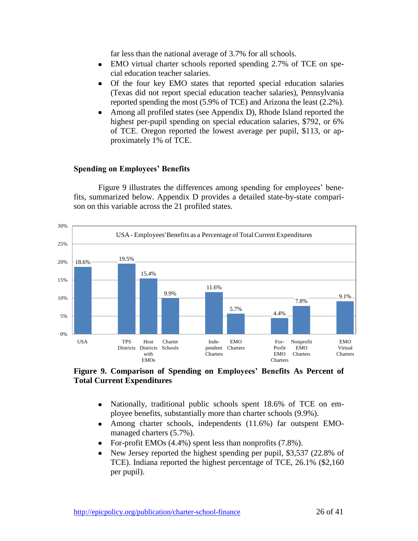far less than the national average of 3.7% for all schools.

- EMO virtual charter schools reported spending 2.7% of TCE on spe- $\bullet$ cial education teacher salaries.
- Of the four key EMO states that reported special education salaries  $\bullet$ (Texas did not report special education teacher salaries), Pennsylvania reported spending the most (5.9% of TCE) and Arizona the least (2.2%).
- $\bullet$ Among all profiled states (see Appendix D), Rhode Island reported the highest per-pupil spending on special education salaries, \$792, or 6% of TCE. Oregon reported the lowest average per pupil, \$113, or approximately 1% of TCE.

## **Spending on Employees' Benefits**

Figure 9 illustrates the differences among spending for employees' benefits, summarized below. Appendix D provides a detailed state-by-state comparison on this variable across the 21 profiled states.



**Figure 9. Comparison of Spending on Employees' Benefits As Percent of Total Current Expenditures**

- Nationally, traditional public schools spent 18.6% of TCE on em- $\bullet$ ployee benefits, substantially more than charter schools (9.9%).
- Among charter schools, independents (11.6%) far outspent EMO- $\bullet$ managed charters (5.7%).
- For-profit EMOs (4.4%) spent less than nonprofits (7.8%).  $\bullet$
- New Jersey reported the highest spending per pupil, \$3,537 (22.8% of TCE). Indiana reported the highest percentage of TCE, 26.1% (\$2,160 per pupil).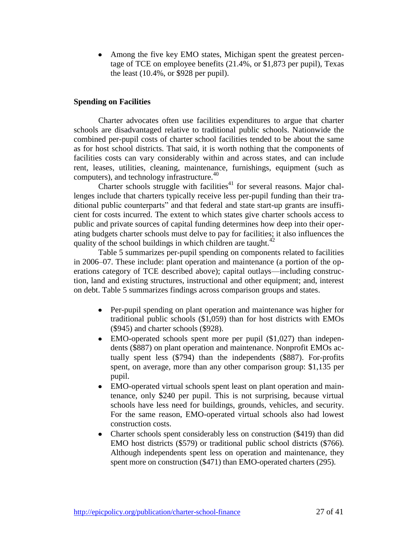Among the five key EMO states, Michigan spent the greatest percen- $\bullet$ tage of TCE on employee benefits (21.4%, or \$1,873 per pupil), Texas the least (10.4%, or \$928 per pupil).

## **Spending on Facilities**

Charter advocates often use facilities expenditures to argue that charter schools are disadvantaged relative to traditional public schools. Nationwide the combined per-pupil costs of charter school facilities tended to be about the same as for host school districts. That said, it is worth nothing that the components of facilities costs can vary considerably within and across states, and can include rent, leases, utilities, cleaning, maintenance, furnishings, equipment (such as computers), and technology infrastructure. $40$ 

Charter schools struggle with facilities<sup>41</sup> for several reasons. Major challenges include that charters typically receive less per-pupil funding than their traditional public counterparts" and that federal and state start-up grants are insufficient for costs incurred. The extent to which states give charter schools access to public and private sources of capital funding determines how deep into their operating budgets charter schools must delve to pay for facilities; it also influences the quality of the school buildings in which children are taught. $42$ 

Table 5 summarizes per-pupil spending on components related to facilities in 2006–07. These include: plant operation and maintenance (a portion of the operations category of TCE described above); capital outlays—including construction, land and existing structures, instructional and other equipment; and, interest on debt. Table 5 summarizes findings across comparison groups and states.

- Per-pupil spending on plant operation and maintenance was higher for traditional public schools (\$1,059) than for host districts with EMOs (\$945) and charter schools (\$928).
- EMO-operated schools spent more per pupil (\$1,027) than independents (\$887) on plant operation and maintenance. Nonprofit EMOs actually spent less (\$794) than the independents (\$887). For-profits spent, on average, more than any other comparison group: \$1,135 per pupil.
- EMO-operated virtual schools spent least on plant operation and maintenance, only \$240 per pupil. This is not surprising, because virtual schools have less need for buildings, grounds, vehicles, and security. For the same reason, EMO-operated virtual schools also had lowest construction costs.
- Charter schools spent considerably less on construction (\$419) than did EMO host districts (\$579) or traditional public school districts (\$766). Although independents spent less on operation and maintenance, they spent more on construction (\$471) than EMO-operated charters (295).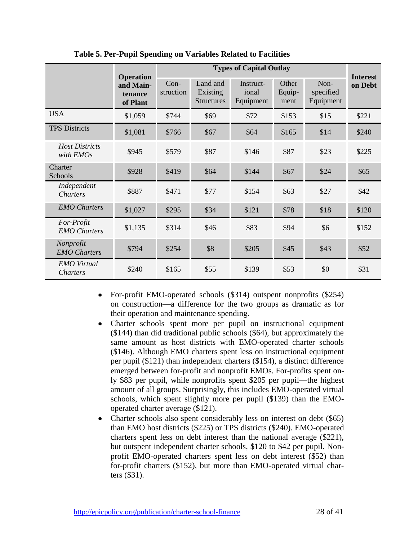|                                       | <b>Operation</b> | <b>Types of Capital Outlay</b> |                                           |                                 |                         |                                |                            |  |
|---------------------------------------|------------------|--------------------------------|-------------------------------------------|---------------------------------|-------------------------|--------------------------------|----------------------------|--|
| and Main-<br>tenance<br>of Plant      |                  | Con-<br>struction              | Land and<br>Existing<br><b>Structures</b> | Instruct-<br>ional<br>Equipment | Other<br>Equip-<br>ment | Non-<br>specified<br>Equipment | <b>Interest</b><br>on Debt |  |
| <b>USA</b>                            | \$1,059          | \$744                          | \$69                                      | \$72                            | \$153                   | \$15                           | \$221                      |  |
| <b>TPS Districts</b>                  | \$1,081          | \$766                          | \$67                                      | \$64                            | \$165                   | \$14                           | \$240                      |  |
| <b>Host Districts</b><br>with EMOs    | \$945            | \$579                          | \$87                                      | \$146                           | \$87                    | \$23                           | \$225                      |  |
| Charter<br>Schools                    | \$928            | \$419                          | \$64                                      | \$144                           | \$67                    | \$24                           | \$65                       |  |
| Independent<br><i>Charters</i>        | \$887            | \$471                          | \$77                                      | \$154                           | \$63                    | \$27                           | \$42                       |  |
| <b>EMO</b> Charters                   | \$1,027          | \$295                          | \$34                                      | \$121                           | \$78                    | \$18                           | \$120                      |  |
| For-Profit<br><b>EMO</b> Charters     | \$1,135          | \$314                          | \$46                                      | \$83                            | \$94                    | \$6                            | \$152                      |  |
| Nonprofit<br><b>EMO</b> Charters      | \$794            | \$254                          | \$8                                       | \$205                           | \$45                    | \$43                           | \$52                       |  |
| <b>EMO</b> Virtual<br><i>Charters</i> | \$240            | \$165                          | \$55                                      | \$139                           | \$53                    | \$0                            | \$31                       |  |

**Table 5. Per-Pupil Spending on Variables Related to Facilities**

- For-profit EMO-operated schools (\$314) outspent nonprofits (\$254)  $\bullet$ on construction—a difference for the two groups as dramatic as for their operation and maintenance spending.
- Charter schools spent more per pupil on instructional equipment  $\bullet$ (\$144) than did traditional public schools (\$64), but approximately the same amount as host districts with EMO-operated charter schools (\$146). Although EMO charters spent less on instructional equipment per pupil (\$121) than independent charters (\$154), a distinct difference emerged between for-profit and nonprofit EMOs. For-profits spent only \$83 per pupil, while nonprofits spent \$205 per pupil—the highest amount of all groups. Surprisingly, this includes EMO-operated virtual schools, which spent slightly more per pupil (\$139) than the EMOoperated charter average (\$121).
- Charter schools also spent considerably less on interest on debt (\$65)  $\bullet$ than EMO host districts (\$225) or TPS districts (\$240). EMO-operated charters spent less on debt interest than the national average (\$221), but outspent independent charter schools, \$120 to \$42 per pupil. Nonprofit EMO-operated charters spent less on debt interest (\$52) than for-profit charters (\$152), but more than EMO-operated virtual charters (\$31).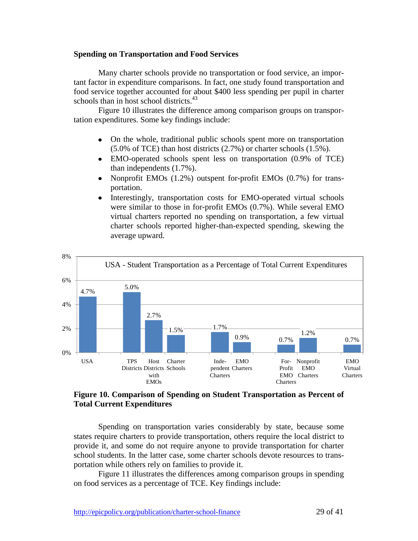### **Spending on Transportation and Food Services**

Many charter schools provide no transportation or food service, an important factor in expenditure comparisons. In fact, one study found transportation and food service together accounted for about \$400 less spending per pupil in charter schools than in host school districts.<sup>43</sup>

Figure 10 illustrates the difference among comparison groups on transportation expenditures. Some key findings include:

- On the whole, traditional public schools spent more on transportation (5.0% of TCE) than host districts (2.7%) or charter schools (1.5%).
- EMO-operated schools spent less on transportation (0.9% of TCE)  $\bullet$ than independents (1.7%).
- Nonprofit EMOs (1.2%) outspent for-profit EMOs (0.7%) for trans- $\bullet$ portation.
- Interestingly, transportation costs for EMO-operated virtual schools  $\bullet$ were similar to those in for-profit EMOs (0.7%). While several EMO virtual charters reported no spending on transportation, a few virtual charter schools reported higher-than-expected spending, skewing the average upward.



## **Figure 10. Comparison of Spending on Student Transportation as Percent of Total Current Expenditures**

Spending on transportation varies considerably by state, because some states require charters to provide transportation, others require the local district to provide it, and some do not require anyone to provide transportation for charter school students. In the latter case, some charter schools devote resources to transportation while others rely on families to provide it.

Figure 11 illustrates the differences among comparison groups in spending on food services as a percentage of TCE. Key findings include: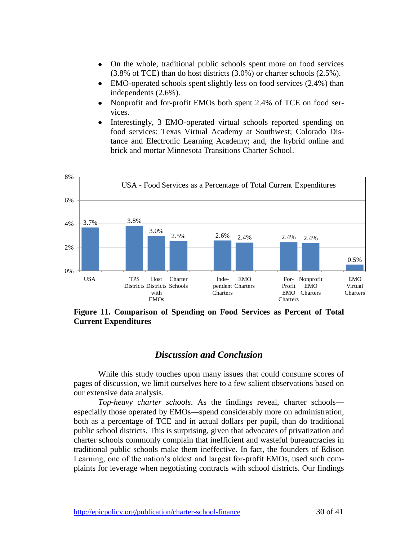- On the whole, traditional public schools spent more on food services  $\bullet$ (3.8% of TCE) than do host districts (3.0%) or charter schools (2.5%).
- EMO-operated schools spent slightly less on food services (2.4%) than  $\bullet$ independents (2.6%).
- Nonprofit and for-profit EMOs both spent 2.4% of TCE on food ser- $\bullet$ vices.
- Interestingly, 3 EMO-operated virtual schools reported spending on  $\bullet$ food services: Texas Virtual Academy at Southwest; Colorado Distance and Electronic Learning Academy; and, the hybrid online and brick and mortar Minnesota Transitions Charter School.



**Figure 11. Comparison of Spending on Food Services as Percent of Total Current Expenditures**

## *Discussion and Conclusion*

While this study touches upon many issues that could consume scores of pages of discussion, we limit ourselves here to a few salient observations based on our extensive data analysis.

*Top-heavy charter schools*. As the findings reveal, charter schools especially those operated by EMOs—spend considerably more on administration, both as a percentage of TCE and in actual dollars per pupil, than do traditional public school districts. This is surprising, given that advocates of privatization and charter schools commonly complain that inefficient and wasteful bureaucracies in traditional public schools make them ineffective. In fact, the founders of Edison Learning, one of the nation's oldest and largest for-profit EMOs, used such complaints for leverage when negotiating contracts with school districts. Our findings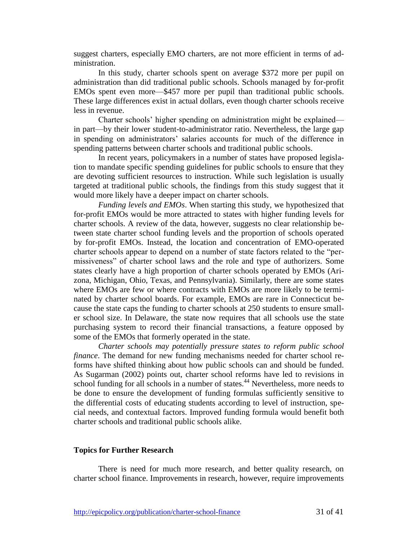suggest charters, especially EMO charters, are not more efficient in terms of administration.

In this study, charter schools spent on average \$372 more per pupil on administration than did traditional public schools. Schools managed by for-profit EMOs spent even more—\$457 more per pupil than traditional public schools. These large differences exist in actual dollars, even though charter schools receive less in revenue.

Charter schools' higher spending on administration might be explained in part—by their lower student-to-administrator ratio. Nevertheless, the large gap in spending on administrators' salaries accounts for much of the difference in spending patterns between charter schools and traditional public schools.

In recent years, policymakers in a number of states have proposed legislation to mandate specific spending guidelines for public schools to ensure that they are devoting sufficient resources to instruction. While such legislation is usually targeted at traditional public schools, the findings from this study suggest that it would more likely have a deeper impact on charter schools.

*Funding levels and EMOs*. When starting this study, we hypothesized that for-profit EMOs would be more attracted to states with higher funding levels for charter schools. A review of the data, however, suggests no clear relationship between state charter school funding levels and the proportion of schools operated by for-profit EMOs. Instead, the location and concentration of EMO-operated charter schools appear to depend on a number of state factors related to the "permissiveness" of charter school laws and the role and type of authorizers. Some states clearly have a high proportion of charter schools operated by EMOs (Arizona, Michigan, Ohio, Texas, and Pennsylvania). Similarly, there are some states where EMOs are few or where contracts with EMOs are more likely to be terminated by charter school boards. For example, EMOs are rare in Connecticut because the state caps the funding to charter schools at 250 students to ensure smaller school size. In Delaware, the state now requires that all schools use the state purchasing system to record their financial transactions, a feature opposed by some of the EMOs that formerly operated in the state.

*Charter schools may potentially pressure states to reform public school finance*. The demand for new funding mechanisms needed for charter school reforms have shifted thinking about how public schools can and should be funded. As Sugarman (2002) points out, charter school reforms have led to revisions in school funding for all schools in a number of states.<sup>44</sup> Nevertheless, more needs to be done to ensure the development of funding formulas sufficiently sensitive to the differential costs of educating students according to level of instruction, special needs, and contextual factors. Improved funding formula would benefit both charter schools and traditional public schools alike.

## **Topics for Further Research**

There is need for much more research, and better quality research, on charter school finance. Improvements in research, however, require improvements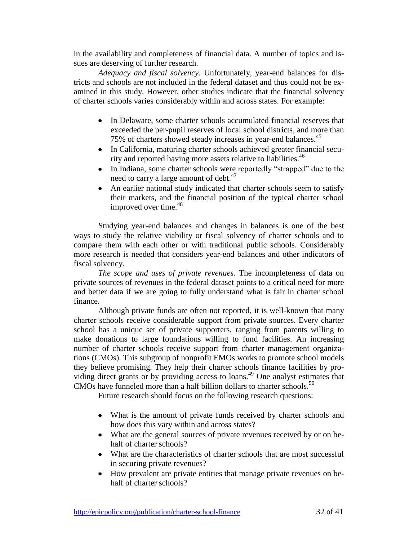in the availability and completeness of financial data. A number of topics and issues are deserving of further research.

*Adequacy and fiscal solvency*. Unfortunately, year-end balances for districts and schools are not included in the federal dataset and thus could not be examined in this study. However, other studies indicate that the financial solvency of charter schools varies considerably within and across states. For example:

- In Delaware, some charter schools accumulated financial reserves that exceeded the per-pupil reserves of local school districts, and more than 75% of charters showed steady increases in year-end balances.<sup>45</sup>
- In California, maturing charter schools achieved greater financial security and reported having more assets relative to liabilities.<sup>46</sup>
- In Indiana, some charter schools were reportedly "strapped" due to the need to carry a large amount of debt.<sup>47</sup>
- An earlier national study indicated that charter schools seem to satisfy  $\bullet$ their markets, and the financial position of the typical charter school improved over time.<sup>48</sup>

Studying year-end balances and changes in balances is one of the best ways to study the relative viability or fiscal solvency of charter schools and to compare them with each other or with traditional public schools. Considerably more research is needed that considers year-end balances and other indicators of fiscal solvency.

*The scope and uses of private revenues*. The incompleteness of data on private sources of revenues in the federal dataset points to a critical need for more and better data if we are going to fully understand what is fair in charter school finance.

Although private funds are often not reported, it is well-known that many charter schools receive considerable support from private sources. Every charter school has a unique set of private supporters, ranging from parents willing to make donations to large foundations willing to fund facilities. An increasing number of charter schools receive support from charter management organizations (CMOs). This subgroup of nonprofit EMOs works to promote school models they believe promising. They help their charter schools finance facilities by providing direct grants or by providing access to loans.<sup>49</sup> One analyst estimates that CMOs have funneled more than a half billion dollars to charter schools.<sup>50</sup>

Future research should focus on the following research questions:

- What is the amount of private funds received by charter schools and how does this vary within and across states?
- What are the general sources of private revenues received by or on behalf of charter schools?
- What are the characteristics of charter schools that are most successful in securing private revenues?
- How prevalent are private entities that manage private revenues on behalf of charter schools?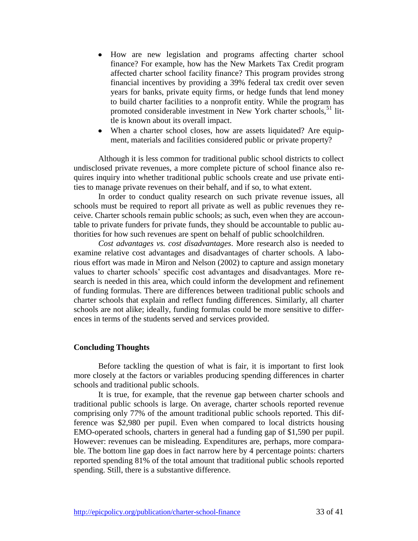- How are new legislation and programs affecting charter school  $\bullet$ finance? For example, how has the New Markets Tax Credit program affected charter school facility finance? This program provides strong financial incentives by providing a 39% federal tax credit over seven years for banks, private equity firms, or hedge funds that lend money to build charter facilities to a nonprofit entity. While the program has promoted considerable investment in New York charter schools,  $51$  little is known about its overall impact.
- When a charter school closes, how are assets liquidated? Are equipment, materials and facilities considered public or private property?

Although it is less common for traditional public school districts to collect undisclosed private revenues, a more complete picture of school finance also requires inquiry into whether traditional public schools create and use private entities to manage private revenues on their behalf, and if so, to what extent.

In order to conduct quality research on such private revenue issues, all schools must be required to report all private as well as public revenues they receive. Charter schools remain public schools; as such, even when they are accountable to private funders for private funds, they should be accountable to public authorities for how such revenues are spent on behalf of public schoolchildren.

*Cost advantages vs. cost disadvantages*. More research also is needed to examine relative cost advantages and disadvantages of charter schools. A laborious effort was made in Miron and Nelson (2002) to capture and assign monetary values to charter schools' specific cost advantages and disadvantages. More research is needed in this area, which could inform the development and refinement of funding formulas. There are differences between traditional public schools and charter schools that explain and reflect funding differences. Similarly, all charter schools are not alike; ideally, funding formulas could be more sensitive to differences in terms of the students served and services provided.

## **Concluding Thoughts**

Before tackling the question of what is fair, it is important to first look more closely at the factors or variables producing spending differences in charter schools and traditional public schools.

It is true, for example, that the revenue gap between charter schools and traditional public schools is large. On average, charter schools reported revenue comprising only 77% of the amount traditional public schools reported. This difference was \$2,980 per pupil. Even when compared to local districts housing EMO-operated schools, charters in general had a funding gap of \$1,590 per pupil. However: revenues can be misleading. Expenditures are, perhaps, more comparable. The bottom line gap does in fact narrow here by 4 percentage points: charters reported spending 81% of the total amount that traditional public schools reported spending. Still, there is a substantive difference.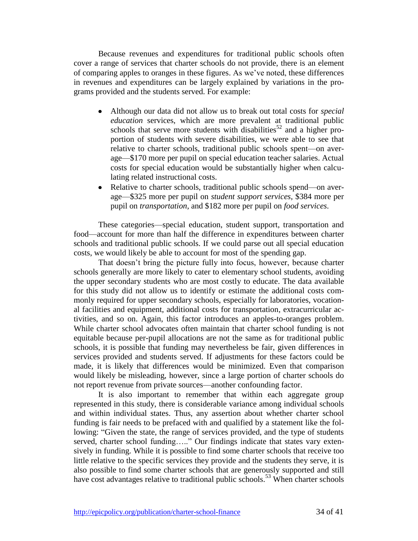Because revenues and expenditures for traditional public schools often cover a range of services that charter schools do not provide, there is an element of comparing apples to oranges in these figures. As we've noted, these differences in revenues and expenditures can be largely explained by variations in the programs provided and the students served. For example:

- Although our data did not allow us to break out total costs for *special education* services, which are more prevalent at traditional public schools that serve more students with disabilities<sup>52</sup> and a higher proportion of students with severe disabilities, we were able to see that relative to charter schools, traditional public schools spent—on average—\$170 more per pupil on special education teacher salaries. Actual costs for special education would be substantially higher when calculating related instructional costs.
- Relative to charter schools, traditional public schools spend—on average—\$325 more per pupil on *student support services*, \$384 more per pupil on *transportation*, and \$182 more per pupil on *food services*.

These categories—special education, student support, transportation and food—account for more than half the difference in expenditures between charter schools and traditional public schools. If we could parse out all special education costs, we would likely be able to account for most of the spending gap.

That doesn't bring the picture fully into focus, however, because charter schools generally are more likely to cater to elementary school students, avoiding the upper secondary students who are most costly to educate. The data available for this study did not allow us to identify or estimate the additional costs commonly required for upper secondary schools, especially for laboratories, vocational facilities and equipment, additional costs for transportation, extracurricular activities, and so on. Again, this factor introduces an apples-to-oranges problem. While charter school advocates often maintain that charter school funding is not equitable because per-pupil allocations are not the same as for traditional public schools, it is possible that funding may nevertheless be fair, given differences in services provided and students served. If adjustments for these factors could be made, it is likely that differences would be minimized. Even that comparison would likely be misleading, however, since a large portion of charter schools do not report revenue from private sources—another confounding factor.

It is also important to remember that within each aggregate group represented in this study, there is considerable variance among individual schools and within individual states. Thus, any assertion about whether charter school funding is fair needs to be prefaced with and qualified by a statement like the following: "Given the state, the range of services provided, and the type of students served, charter school funding….." Our findings indicate that states vary extensively in funding. While it is possible to find some charter schools that receive too little relative to the specific services they provide and the students they serve, it is also possible to find some charter schools that are generously supported and still have cost advantages relative to traditional public schools.<sup>53</sup> When charter schools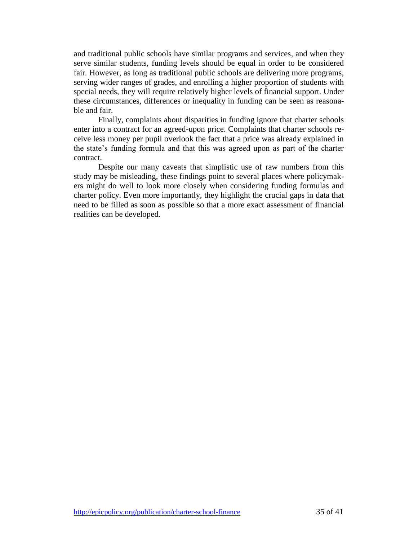and traditional public schools have similar programs and services, and when they serve similar students, funding levels should be equal in order to be considered fair. However, as long as traditional public schools are delivering more programs, serving wider ranges of grades, and enrolling a higher proportion of students with special needs, they will require relatively higher levels of financial support. Under these circumstances, differences or inequality in funding can be seen as reasonable and fair.

Finally, complaints about disparities in funding ignore that charter schools enter into a contract for an agreed-upon price. Complaints that charter schools receive less money per pupil overlook the fact that a price was already explained in the state's funding formula and that this was agreed upon as part of the charter contract.

Despite our many caveats that simplistic use of raw numbers from this study may be misleading, these findings point to several places where policymakers might do well to look more closely when considering funding formulas and charter policy. Even more importantly, they highlight the crucial gaps in data that need to be filled as soon as possible so that a more exact assessment of financial realities can be developed.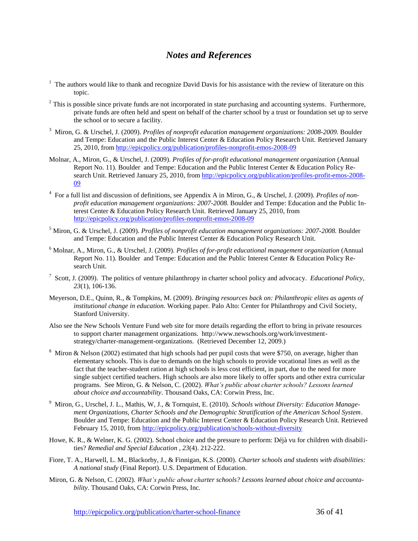## *Notes and References*

- $1$  The authors would like to thank and recognize David Davis for his assistance with the review of literature on this topic.
- $2$  This is possible since private funds are not incorporated in state purchasing and accounting systems. Furthermore, private funds are often held and spent on behalf of the charter school by a trust or foundation set up to serve the school or to secure a facility.
- <sup>3</sup> Miron, G. & Urschel, J. (2009). *Profiles of nonprofit education management organizations: 2008-2009*. Boulder and Tempe: Education and the Public Interest Center & Education Policy Research Unit. Retrieved January 25, 2010, from http://epicpolicy.org/publication/profiles-nonprofit-emos-2008-09
- Molnar, A., Miron, G., & Urschel, J. (2009). *Profiles of for-profit educational management organization* (Annual Report No. 11). Boulder and Tempe: Education and the Public Interest Center & Education Policy Research Unit. Retrieved January 25, 2010, from http://epicpolicy.org/publication/profiles-profit-emos-2008-09
- 4 For a full list and discussion of definitions, see Appendix A in Miron, G., & Urschel, J. (2009). *Profiles of nonprofit education management organizations: 2007-2008.* Boulder and Tempe: Education and the Public Interest Center & Education Policy Research Unit. Retrieved January 25, 2010, from http://epicpolicy.org/publication/profiles-nonprofit-emos-2008-09
- <sup>5</sup> Miron, G. & Urschel, J. (2009). *Profiles of nonprofit education management organizations: 2007-2008.* Boulder and Tempe: Education and the Public Interest Center & Education Policy Research Unit.
- <sup>6</sup> Molnar, A., Miron, G., & Urschel, J. (2009). *Profiles of for-profit educational management organization* (Annual Report No. 11). Boulder and Tempe: Education and the Public Interest Center & Education Policy Research Unit.
- 7 Scott, J. (2009). The politics of venture philanthropy in charter school policy and advocacy. *Educational Policy, 23*(1), 106-136.
- Meyerson, D.E., Quinn, R., & Tompkins, M. (2009). *Bringing resources back on: Philanthropic elites as agents of institutional change in education.* Working paper. Palo Alto: Center for Philanthropy and Civil Society, Stanford University.
- Also see the New Schools Venture Fund web site for more details regarding the effort to bring in private resources to support charter management organizations. http://www.newschools.org/work/investmentstrategy/charter-management-organizations. (Retrieved December 12, 2009.)
- <sup>8</sup> Miron & Nelson (2002) estimated that high schools had per pupil costs that were \$750, on average, higher than elementary schools. This is due to demands on the high schools to provide vocational lines as well as the fact that the teacher-student ration at high schools is less cost efficient, in part, due to the need for more single subject certified teachers. High schools are also more likely to offer sports and other extra curricular programs. See Miron, G. & Nelson, C. (2002). *What's public about charter schools? Lessons learned about choice and accountability*. Thousand Oaks, CA: Corwin Press, Inc.
- 9 Miron, G., Urschel, J. L., Mathis, W, J., & Tornquist, E. (2010). *Schools without Diversity: Education Management Organizations, Charter Schools and the Demographic Stratification of the American School System*. Boulder and Tempe: Education and the Public Interest Center & Education Policy Research Unit. Retrieved February 15, 2010, from<http://epicpolicy.org/publication/schools-without-diversity>
- Howe, K. R., & Welner, K. G. (2002). School choice and the pressure to perform: Déjà vu for children with disabilities? *Remedial and Special Education , 23*(4). 212-222.
- Fiore, T. A., Harwell, L. M., Blackorby, J., & Finnigan, K.S. (2000). *Charter schools and students with disabilities: A national study* (Final Report). U.S. Department of Education.
- Miron, G. & Nelson, C. (2002). *What's public about charter schools? Lessons learned about choice and accountability*. Thousand Oaks, CA: Corwin Press, Inc.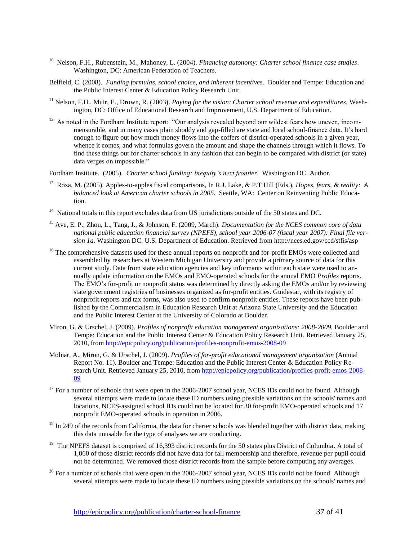- <sup>10</sup> Nelson, F.H., Rubenstein, M., Mahoney, L. (2004). *Financing autonomy: Charter school finance case studies*. Washington, DC: American Federation of Teachers.
- Belfield, C. (2008). *Funding formulas, school choice, and inherent incentives*. Boulder and Tempe: Education and the Public Interest Center & Education Policy Research Unit.
- <sup>11</sup> Nelson, F.H., Muir, E., Drown, R. (2003). *Paying for the vision: Charter school revenue and expenditures*. Washington, DC: Office of Educational Research and Improvement, U.S. Department of Education.
- $12$  As noted in the Fordham Institute report: "Our analysis revealed beyond our wildest fears how uneven, incommensurable, and in many cases plain shoddy and gap-filled are state and local school-finance data. It's hard enough to figure out how much money flows into the coffers of district-operated schools in a given year, whence it comes, and what formulas govern the amount and shape the channels through which it flows. To find these things out for charter schools in any fashion that can begin to be compared with district (or state) data verges on impossible."

Fordham Institute. (2005). *Charter school funding: Inequity's next frontier*. Washington DC. Author.

- 13 Roza, M. (2005). Apples-to-apples fiscal comparisons, In R.J. Lake, & P.T Hill (Eds.), *Hopes, fears, & reality: A balanced look at American charter schools in 2005*. Seattle, WA: Center on Reinventing Public Education.
- <sup>14</sup> National totals in this report excludes data from US jurisdictions outside of the 50 states and DC.
- <sup>15</sup> Ave, E. P., Zhou, L., Tang, J., & Johnson, F. (2009, March). *Documentation for the NCES common core of data national public education financial survey (NPEFS), school year 2006-07 (fiscal year 2007): Final file version 1a.* Washington DC: U.S. Department of Education. Retrieved from http://nces.ed.gov/ccd/stfis/asp
- <sup>16</sup> The comprehensive datasets used for these annual reports on nonprofit and for-profit EMOs were collected and assembled by researchers at Western Michigan University and provide a primary source of data for this current study. Data from state education agencies and key informants within each state were used to annually update information on the EMOs and EMO-operated schools for the annual EMO *Profiles* reports. The EMO's for-profit or nonprofit status was determined by directly asking the EMOs and/or by reviewing state government registries of businesses organized as for-profit entities. Guidestar, with its registry of nonprofit reports and tax forms, was also used to confirm nonprofit entities. These reports have been published by the Commercialism in Education Research Unit at Arizona State University and the Education and the Public Interest Center at the University of Colorado at Boulder.
- Miron, G. & Urschel, J. (2009). *Profiles of nonprofit education management organizations: 2008-2009.* Boulder and Tempe: Education and the Public Interest Center & Education Policy Research Unit. Retrieved January 25, 2010, from<http://epicpolicy.org/publication/profiles-nonprofit-emos-2008-09>
- Molnar, A., Miron, G. & Urschel, J. (2009). *Profiles of for-profit educational management organization* (Annual Report No. 11). Boulder and Tempe: Education and the Public Interest Center & Education Policy Research Unit. Retrieved January 25, 2010, fro[m http://epicpolicy.org/publication/profiles-profit-emos-2008-](http://epicpolicy.org/publication/profiles-profit-emos-2008-09) [09](http://epicpolicy.org/publication/profiles-profit-emos-2008-09)
- <sup>17</sup> For a number of schools that were open in the 2006-2007 school year, NCES IDs could not be found. Although several attempts were made to locate these ID numbers using possible variations on the schools' names and locations, NCES-assigned school IDs could not be located for 30 for-profit EMO-operated schools and 17 nonprofit EMO-operated schools in operation in 2006.
- $18$  In 249 of the records from California, the data for charter schools was blended together with district data, making this data unusable for the type of analyses we are conducting.
- <sup>19</sup> The NPEFS dataset is comprised of 16,393 district records for the 50 states plus District of Columbia. A total of 1,060 of those district records did not have data for fall membership and therefore, revenue per pupil could not be determined. We removed those district records from the sample before computing any averages.
- $20$  For a number of schools that were open in the 2006-2007 school year, NCES IDs could not be found. Although several attempts were made to locate these ID numbers using possible variations on the schools' names and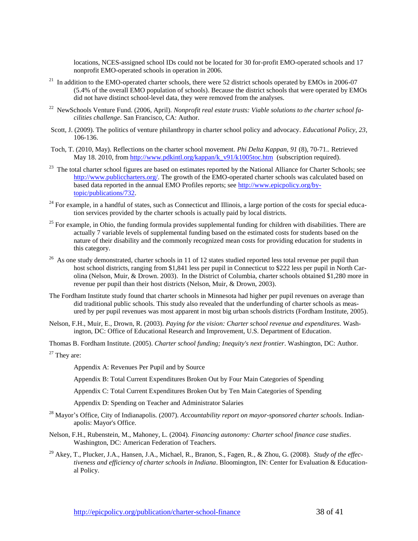locations, NCES-assigned school IDs could not be located for 30 for-profit EMO-operated schools and 17 nonprofit EMO-operated schools in operation in 2006.

- $21$  In addition to the EMO-operated charter schools, there were 52 district schools operated by EMOs in 2006-07 (5.4% of the overall EMO population of schools). Because the district schools that were operated by EMOs did not have distinct school-level data, they were removed from the analyses.
- 22 NewSchools Venture Fund. (2006, April). *Nonprofit real estate trusts: Viable solutions to the charter school facilities challenge*. San Francisco, CA: Author.
- Scott, J. (2009). The politics of venture philanthropy in charter school policy and advocacy. *Educational Policy, 23*, 106-136.
- Toch, T. (2010, May). Reflections on the charter school movement. *Phi Delta Kappan, 91* (8), 70-71.*.* Retrieved May 18. 2010, from [http://www.pdkintl.org/kappan/k\\_v91/k1005toc.htm](http://www.pdkintl.org/kappan/k_v91/k1005toc.htm) (subscription required).
- <sup>23</sup> The total charter school figures are based on estimates reported by the National Alliance for Charter Schools; see [http://www.publiccharters.org/.](http://www.publiccharters.org/) The growth of the EMO-operated charter schools was calculated based on based data reported in the annual EMO Profiles reports; see [http://www.epicpolicy.org/by](http://www.epicpolicy.org/by-topic/publications/732)[topic/publications/732.](http://www.epicpolicy.org/by-topic/publications/732)
- <sup>24</sup> For example, in a handful of states, such as Connecticut and Illinois, a large portion of the costs for special education services provided by the charter schools is actually paid by local districts.
- <sup>25</sup> For example, in Ohio, the funding formula provides supplemental funding for children with disabilities. There are actually 7 variable levels of supplemental funding based on the estimated costs for students based on the nature of their disability and the commonly recognized mean costs for providing education for students in this category.
- $26$  As one study demonstrated, charter schools in 11 of 12 states studied reported less total revenue per pupil than host school districts, ranging from \$1,841 less per pupil in Connecticut to \$222 less per pupil in North Carolina (Nelson, Muir, & Drown. 2003). In the District of Columbia, charter schools obtained \$1,280 more in revenue per pupil than their host districts (Nelson, Muir, & Drown, 2003).
- The Fordham Institute study found that charter schools in Minnesota had higher per pupil revenues on average than did traditional public schools. This study also revealed that the underfunding of charter schools as measured by per pupil revenues was most apparent in most big urban schools districts (Fordham Institute, 2005).
- Nelson, F.H., Muir, E., Drown, R. (2003). *Paying for the vision: Charter school revenue and expenditures.* Washington, DC: Office of Educational Research and Improvement, U.S. Department of Education.

Thomas B. Fordham Institute. (2005). *Charter school funding; Inequity's next frontier*. Washington, DC: Author.

<sup>27</sup> They are:

Appendix A: Revenues Per Pupil and by Source

Appendix B: Total Current Expenditures Broken Out by Four Main Categories of Spending

Appendix C: Total Current Expenditures Broken Out by Ten Main Categories of Spending

Appendix D: Spending on Teacher and Administrator Salaries

- <sup>28</sup> Mayor's Office, City of Indianapolis. (2007). *Accountability report on mayor-sponsored charter schools*. Indianapolis: Mayor's Office.
- Nelson, F.H., Rubenstein, M., Mahoney, L. (2004). *Financing autonomy: Charter school finance case studies*. Washington, DC: American Federation of Teachers.
- <sup>29</sup> Akey, T., Plucker, J.A., Hansen, J.A., Michael, R., Branon, S., Fagen, R., & Zhou, G. (2008). *Study of the effectiveness and efficiency of charter schools in Indiana*. Bloomington, IN: Center for Evaluation & Educational Policy.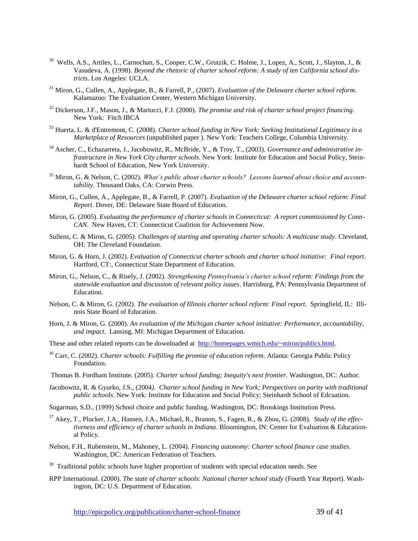- <sup>30</sup> Wells, A.S., Artiles, L., Carnochan, S., Cooper, C.W., Grutzik, C. Holme, J., Lopez, A., Scott, J., Slayton, J., & Vasudeva, A. (1998). *Beyond the rhetoric of charter school reform: A study of ten California school districts*. Los Angeles: UCLA.
- <sup>31</sup> Miron, G., Cullen, A., Applegate, B., & Farrell, P., (2007). *Evaluation of the Delaware charter school reform*. Kalamazoo: The Evaluation Center, Western Michigan University.
- <sup>32</sup> Dickerson, J.F., Mason, J., & Martucci, F.J. (2000). *The promise and risk of charter school project financing*. New York: Fitch IBCA
- <sup>33</sup> Huerta, L. & d'Entremont, C. (2008). *Charter school funding in New York: Seeking Institutional Legitimacy in a Marketplace of Resources* (unpublished paper ). New York: Teachers College, Columbia University.
- <sup>34</sup> Ascher, C., Echazarreta, J., Jacobowitz, R., McBride, Y., & Troy, T., (2003). *Governance and administrative infrastructure in New York City charter schools*. New York: Institute for Education and Social Policy, Steinhardt School of Education, New York University.
- <sup>35</sup> Miron, G. & Nelson, C. (2002). *What's public about charter schools? Lessons learned about choice and accountability*. Thousand Oaks, CA: Corwin Press.
- Miron, G., Cullen, A., Applegate, B., & Farrell, P. (2007). *Evaluation of the Delaware charter school reform: Final Report*. Dover, DE: Delaware State Board of Education.
- Miron, G. (2005). *Evaluating the performance of charter schools in Connecticut: A report commissioned by Conn-CAN*. New Haven, CT: Connecticut Coalition for Achievement Now.
- Sullens, C. & Miron, G. (2005). *Challenges of starting and operating charter schools: A multicase study*. Cleveland, OH: The Cleveland Foundation.
- Miron, G. & Horn, J. (2002). *Evaluation of Connecticut charter schools and charter school initiative: Final report*. Hartford, CT:, Connecticut State Department of Education.
- Miron, G., Nelson, C., & Risely, J. (2002). *Strengthening Pennsylvania's charter school reform: Findings from the statewide evaluation and discussion of relevant policy issues*. Harrisburg, PA: Pennsylvania Department of Education.
- Nelson, C. & Miron, G. (2002). *The evaluation of Illinois charter school reform: Final report*. Springfield, IL: Illinois State Board of Education.
- Horn, J. & Miron, G. (2000). *An evaluation of the Michigan charter school initiative: Performance, accountability, and impact*. Lansing, MI: Michigan Department of Education.
- These and other related reports can be downloaded at [http://homepages.wmich.edu/~miron/publics.html.](http://homepages.wmich.edu/~miron/publics.html)
- <sup>36</sup> Carr, C. (2002). *Charter schools: Fulfilling the promise of education reform*. Atlanta: Georgia Public Policy Foundation.
- Thomas B. Fordham Institute. (2005). *Charter school funding; Inequity's next frontier*. Washington, DC: Author.
- Jacobowitz, R. & Gyurko, J.S., (2004*). Charter school funding in New York; Perspectives on parity with traditional public schools*. New York: Institute for Education and Social Policy; Steinhardt School of Edcuation.
- Sugarman, S.D., (1999) School choice and public funding. Washington, DC: Brookings Institution Press.
- <sup>37</sup> Akey, T., Plucker, J.A., Hansen, J.A., Michael, R., Branon, S., Fagen, R., & Zhou, G. (2008). *Study of the effectiveness and efficiency of charter schools in Indiana*. Bloomington, IN: Center for Evaluation & Educational Policy.
- Nelson, F.H., Rubenstein, M., Mahoney, L. (2004). *Financing autonomy: Charter school finance case studies*. Washington, DC: American Federation of Teachers.
- <sup>38</sup> Traditional public schools have higher proportion of students with special education needs. See
- RPP International. (2000). *The state of charter schools*: *National charter school study* (Fourth Year Report). Washington, DC: U.S. Department of Education.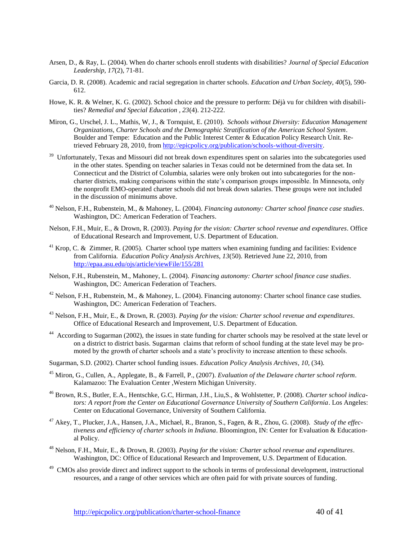- Arsen, D., & Ray, L. (2004). When do charter schools enroll students with disabilities? *Journal of Special Education Leadership, 17*(2), 71-81.
- Garcia, D. R. (2008). Academic and racial segregation in charter schools. *Education and Urban Society, 40*(5), 590- 612.
- Howe, K. R. & Welner, K. G. (2002). School choice and the pressure to perform: Déjà vu for children with disabilities? *Remedial and Special Education , 23*(4). 212-222.
- Miron, G., Urschel, J. L., Mathis, W, J., & Tornquist, E. (2010). *Schools without Diversity: Education Management Organizations, Charter Schools and the Demographic Stratification of the American School System*. Boulder and Tempe: Education and the Public Interest Center & Education Policy Research Unit. Retrieved February 28, 2010, from [http://epicpolicy.org/publication/schools-without-diversity.](http://epicpolicy.org/publication/schools-without-diversity)
- <sup>39</sup> Unfortunately, Texas and Missouri did not break down expenditures spent on salaries into the subcategories used in the other states. Spending on teacher salaries in Texas could not be determined from the data set. In Connecticut and the District of Columbia, salaries were only broken out into subcategories for the noncharter districts, making comparisons within the state's comparison groups impossible. In Minnesota, only the nonprofit EMO-operated charter schools did not break down salaries. These groups were not included in the discussion of minimums above.
- <sup>40</sup> Nelson, F.H., Rubenstein, M., & Mahoney, L. (2004). *Financing autonomy: Charter school finance case studies*. Washington, DC: American Federation of Teachers.
- Nelson, F.H., Muir, E., & Drown, R. (2003). *Paying for the vision: Charter school revenue and expenditures*. Office of Educational Research and Improvement, U.S. Department of Education.
- $41$  Krop, C. & Zimmer, R. (2005). Charter school type matters when examining funding and facilities: Evidence from California. *Education Policy Analysis Archives, 13*(50). Retrieved June 22, 2010, from <http://epaa.asu.edu/ojs/article/viewFile/155/281>
- Nelson, F.H., Rubenstein, M., Mahoney, L. (2004). *Financing autonomy: Charter school finance case studies*. Washington, DC: American Federation of Teachers.
- $42$  Nelson, F.H., Rubenstein, M., & Mahoney, L. (2004). Financing autonomy: Charter school finance case studies. Washington, DC: American Federation of Teachers.
- <sup>43</sup> Nelson, F.H., Muir, E., & Drown, R. (2003). *Paying for the vision: Charter school revenue and expenditures*. Office of Educational Research and Improvement, U.S. Department of Education.
- <sup>44</sup> According to Sugarman (2002), the issues in state funding for charter schools may be resolved at the state level or on a district to district basis. Sugarman claims that reform of school funding at the state level may be promoted by the growth of charter schools and a state's proclivity to increase attention to these schools.
- Sugarman, S.D. (2002). Charter school funding issues. *Education Policy Analysis Archives, 10*, (34).
- <sup>45</sup> Miron, G., Cullen, A., Applegate, B., & Farrell, P., (2007). *Evaluation of the Delaware charter school reform*. Kalamazoo: The Evaluation Center ,Western Michigan University.
- <sup>46</sup> Brown, R.S., Butler, E.A., Hentschke, G.C, Hirman, J.H., Liu,S., & Wohlstetter, P. (2008). *Charter school indicators: A report from the Center on Educational Governance University of Southern California*. Los Angeles: Center on Educational Governance, University of Southern California.
- <sup>47</sup> Akey, T., Plucker, J.A., Hansen, J.A., Michael, R., Branon, S., Fagen, & R., Zhou, G. (2008). *Study of the effectiveness and efficiency of charter schools in Indiana*. Bloomington, IN: Center for Evaluation & Educational Policy.
- <sup>48</sup> Nelson, F.H., Muir, E., & Drown, R. (2003). *Paying for the vision: Charter school revenue and expenditures*. Washington, DC: Office of Educational Research and Improvement, U.S. Department of Education.
- <sup>49</sup> CMOs also provide direct and indirect support to the schools in terms of professional development, instructional resources, and a range of other services which are often paid for with private sources of funding.